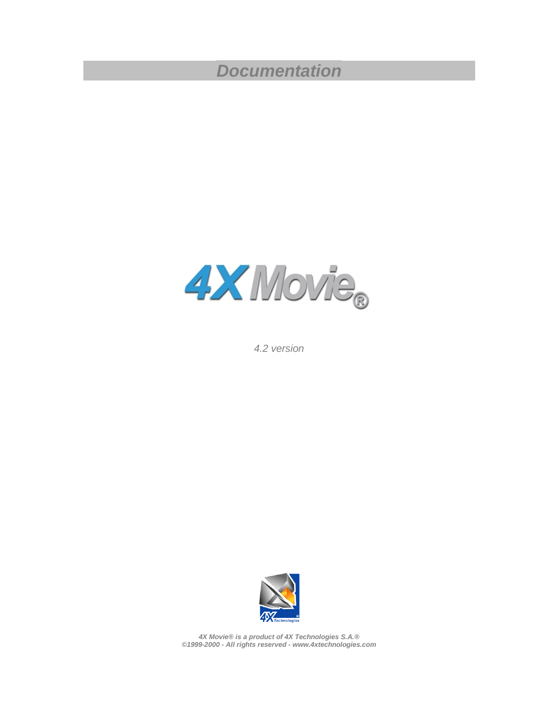# *Documentation*



*4.2 version* 



*4X Movie® is a product of 4X Technologies S.A.® ©1999-2000 - All rights reserved - www.4xtechnologies.com*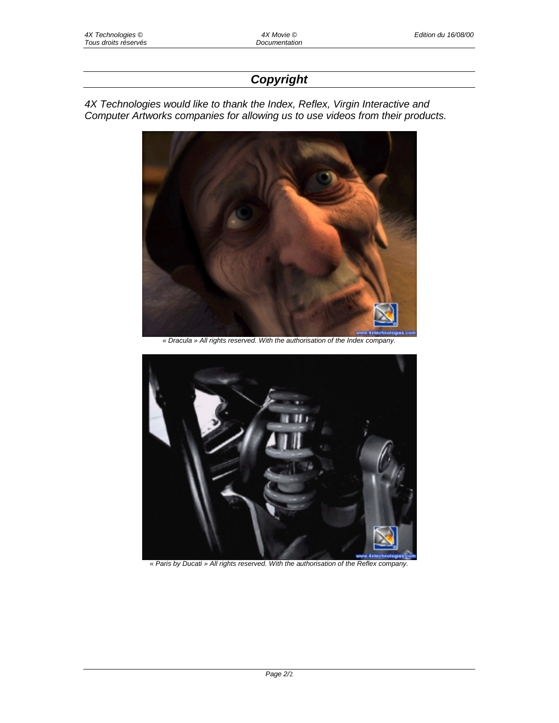# *Copyright*

*4X Technologies would like to thank the Index, Reflex, Virgin Interactive and Computer Artworks companies for allowing us to use videos from their products.* 



*« Dracula » All rights reserved. With the authorisation of the Index company.* 



*« Paris by Ducati » All rights reserved. With the authorisation of the Reflex company.*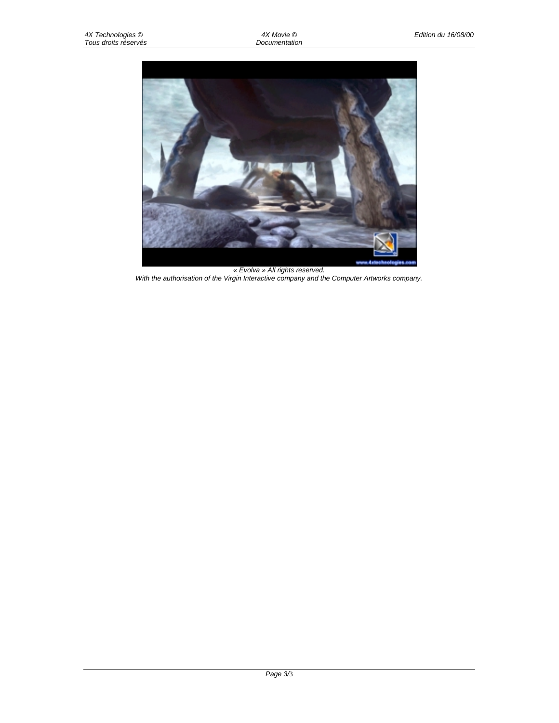

*« Evolva » All rights reserved. With the authorisation of the Virgin Interactive company and the Computer Artworks company.*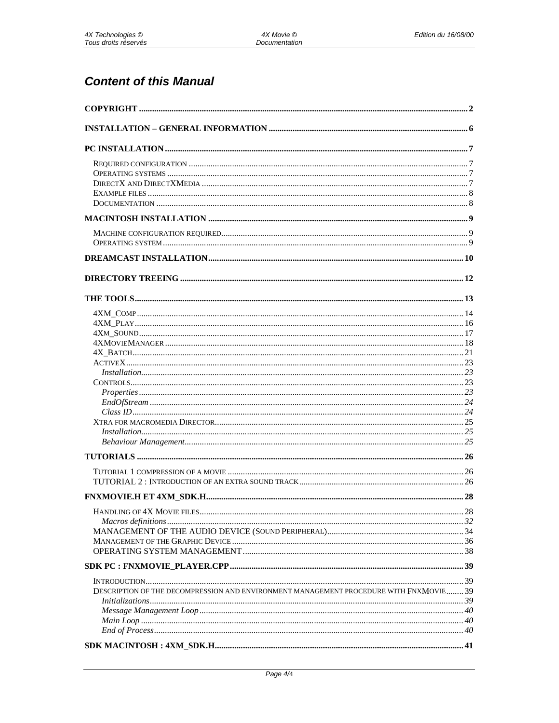# **Content of this Manual**

| DESCRIPTION OF THE DECOMPRESSION AND ENVIRONMENT MANAGEMENT PROCEDURE WITH FNXMOVIE 39 |  |
|----------------------------------------------------------------------------------------|--|
|                                                                                        |  |
|                                                                                        |  |
|                                                                                        |  |
|                                                                                        |  |
|                                                                                        |  |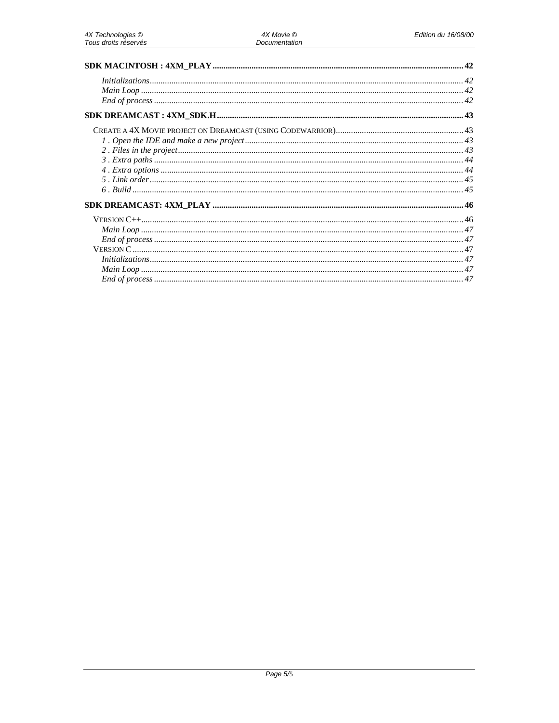| 42 |
|----|
|    |
|    |
|    |
|    |
|    |
|    |
|    |
|    |
|    |
|    |
|    |
|    |
|    |
|    |
|    |
|    |
|    |
|    |
|    |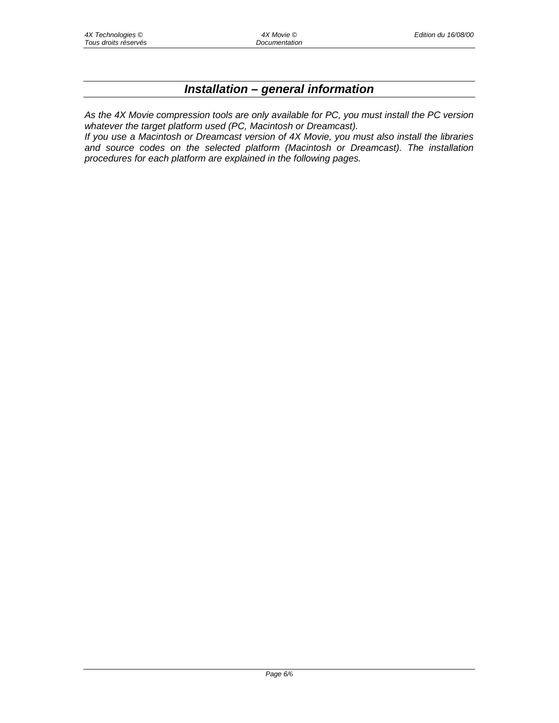# *Installation – general information*

*As the 4X Movie compression tools are only available for PC, you must install the PC version whatever the target platform used (PC, Macintosh or Dreamcast).* 

*If you use a Macintosh or Dreamcast version of 4X Movie, you must also install the libraries and source codes on the selected platform (Macintosh or Dreamcast). The installation procedures for each platform are explained in the following pages.*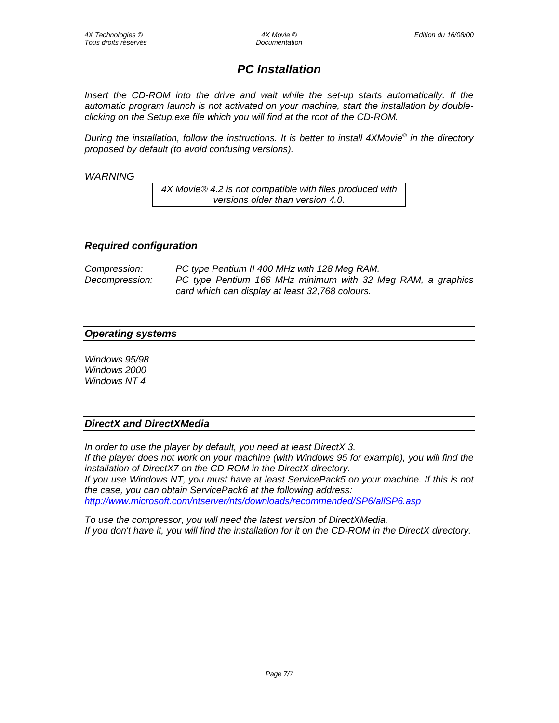# *PC Installation*

*Insert the CD-ROM into the drive and wait while the set-up starts automatically. If the automatic program launch is not activated on your machine, start the installation by doubleclicking on the Setup.exe file which you will find at the root of the CD-ROM.* 

*During the installation, follow the instructions. It is better to install 4XMovie© in the directory proposed by default (to avoid confusing versions).* 

*WARNING* 

*4X Movie® 4.2 is not compatible with files produced with versions older than version 4.0.* 

#### *Required configuration*

| Compression:   | PC type Pentium II 400 MHz with 128 Meg RAM.                |  |  |
|----------------|-------------------------------------------------------------|--|--|
| Decompression: | PC type Pentium 166 MHz minimum with 32 Meg RAM, a graphics |  |  |
|                | card which can display at least 32,768 colours.             |  |  |

#### *Operating systems*

*Windows 95/98 Windows 2000 Windows NT 4* 

## *DirectX and DirectXMedia*

*In order to use the player by default, you need at least DirectX 3. If the player does not work on your machine (with Windows 95 for example), you will find the installation of DirectX7 on the CD-ROM in the DirectX directory. If you use Windows NT, you must have at least ServicePack5 on your machine. If this is not the case, you can obtain ServicePack6 at the following address: http://www.microsoft.com/ntserver/nts/downloads/recommended/SP6/allSP6.asp*

*To use the compressor, you will need the latest version of DirectXMedia. If you don't have it, you will find the installation for it on the CD-ROM in the DirectX directory.*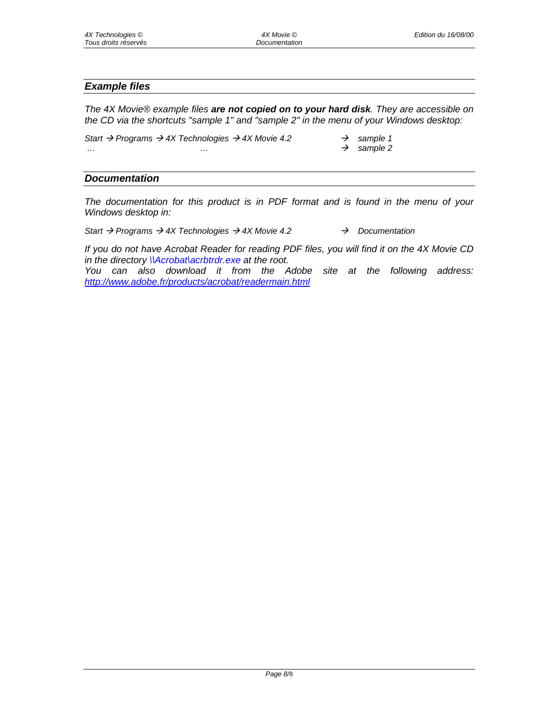#### *Example files*

*The 4X Movie® example files are not copied on to your hard disk. They are accessible on the CD via the shortcuts "sample 1" and "sample 2" in the menu of your Windows desktop:* 

*Start Programs 4X Technologies 4X Movie 4.2 sample 1 … … sample 2* 

#### *Documentation*

*The documentation for this product is in PDF format and is found in the menu of your Windows desktop in:* 

*Start Programs 4X Technologies 4X Movie 4.2 Documentation* 

*If you do not have Acrobat Reader for reading PDF files, you will find it on the 4X Movie CD in the directory \\Acrobat\acrbtrdr.exe at the root.* 

*You can also download it from the Adobe site at the following address: http://www.adobe.fr/products/acrobat/readermain.html*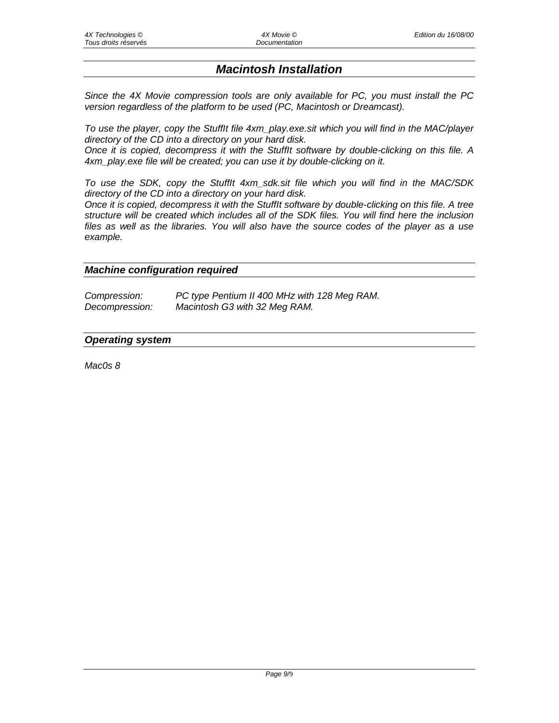# *Macintosh Installation*

*Since the 4X Movie compression tools are only available for PC, you must install the PC version regardless of the platform to be used (PC, Macintosh or Dreamcast).* 

*To use the player, copy the StuffIt file 4xm\_play.exe.sit which you will find in the MAC/player directory of the CD into a directory on your hard disk.* 

*Once it is copied, decompress it with the StuffIt software by double-clicking on this file. A 4xm\_play.exe file will be created; you can use it by double-clicking on it.* 

*To use the SDK, copy the StuffIt 4xm\_sdk.sit file which you will find in the MAC/SDK directory of the CD into a directory on your hard disk.* 

*Once it is copied, decompress it with the StuffIt software by double-clicking on this file. A tree structure will be created which includes all of the SDK files. You will find here the inclusion files as well as the libraries. You will also have the source codes of the player as a use example.* 

#### *Machine configuration required*

| Compression:   | PC type Pentium II 400 MHz with 128 Meg RAM. |
|----------------|----------------------------------------------|
| Decompression: | Macintosh G3 with 32 Meg RAM.                |

#### *Operating system*

*Mac0s 8*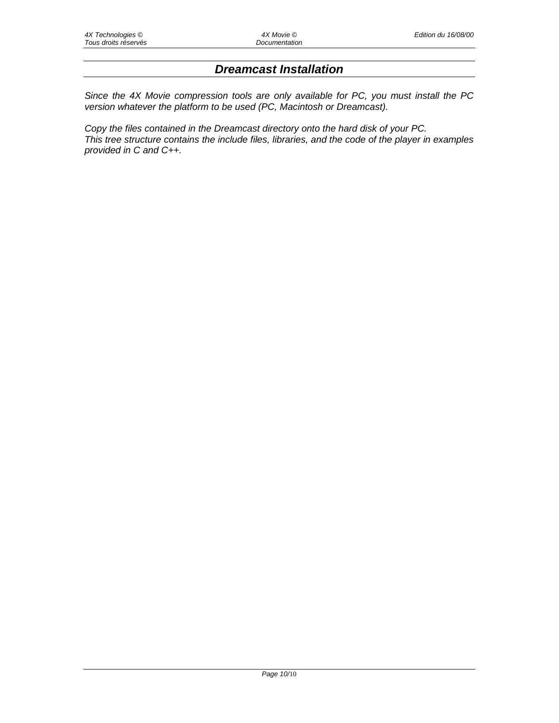# *Dreamcast Installation*

*Since the 4X Movie compression tools are only available for PC, you must install the PC version whatever the platform to be used (PC, Macintosh or Dreamcast).* 

*Copy the files contained in the Dreamcast directory onto the hard disk of your PC. This tree structure contains the include files, libraries, and the code of the player in examples provided in C and C++.*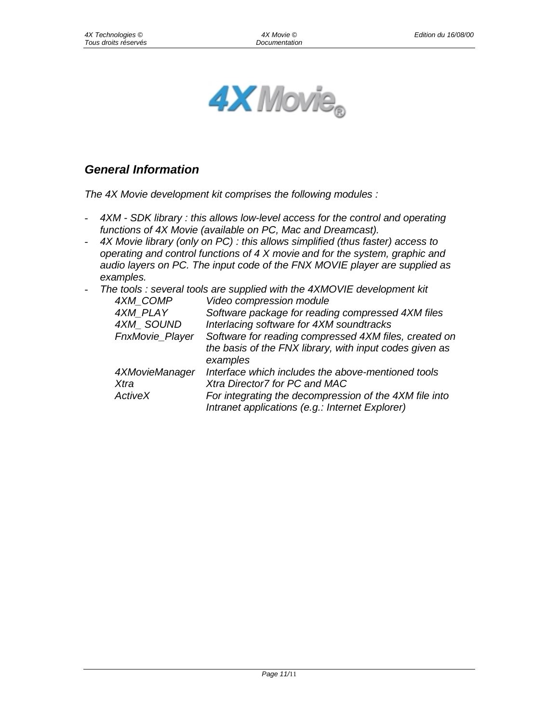

# *General Information*

*The 4X Movie development kit comprises the following modules :* 

- *4XM SDK library : this allows low-level access for the control and operating functions of 4X Movie (available on PC, Mac and Dreamcast).*
- *4X Movie library (only on PC) : this allows simplified (thus faster) access to operating and control functions of 4 X movie and for the system, graphic and audio layers on PC. The input code of the FNX MOVIE player are supplied as examples.*
- *The tools : several tools are supplied with the 4XMOVIE development kit*

| 4XM COMP        | Video compression module                                                                                                     |
|-----------------|------------------------------------------------------------------------------------------------------------------------------|
| 4XM PLAY        | Software package for reading compressed 4XM files                                                                            |
| 4XM SOUND       | Interlacing software for 4XM soundtracks                                                                                     |
| FnxMovie_Player | Software for reading compressed 4XM files, created on<br>the basis of the FNX library, with input codes given as<br>examples |
| 4XMovieManager  | Interface which includes the above-mentioned tools                                                                           |
| Xtra            | Xtra Director7 for PC and MAC                                                                                                |
| ActiveX         | For integrating the decompression of the 4XM file into<br>Intranet applications (e.g.: Internet Explorer)                    |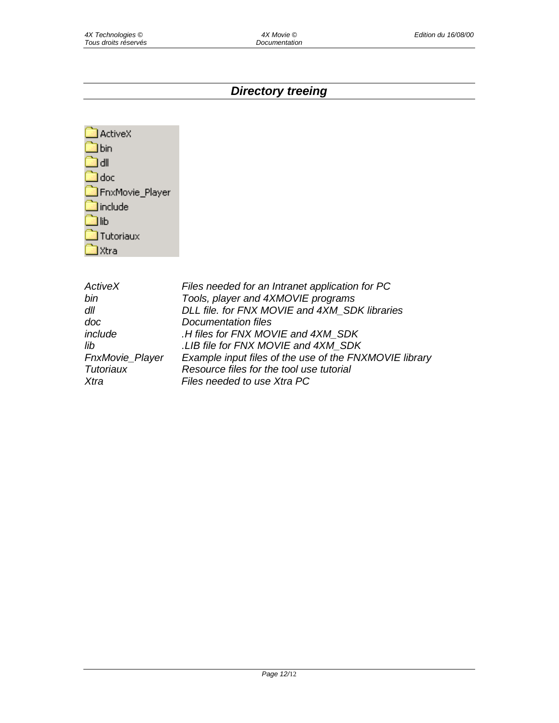# *Directory treeing*

| <b>ActiveX</b>   |
|------------------|
| <b>J</b> bin     |
| l dll            |
| ] doc            |
| FnxMovie_Player  |
| <b>l</b> include |
| l lib            |
| Tutoriaux        |
| Xtra             |

| Files needed for an Intranet application for PC        |
|--------------------------------------------------------|
| Tools, player and 4XMOVIE programs                     |
| DLL file. for FNX MOVIE and 4XM SDK libraries          |
| Documentation files                                    |
| .H files for FNX MOVIE and 4XM SDK                     |
| .LIB file for FNX MOVIE and 4XM_SDK                    |
| Example input files of the use of the FNXMOVIE library |
| Resource files for the tool use tutorial               |
| Files needed to use Xtra PC                            |
|                                                        |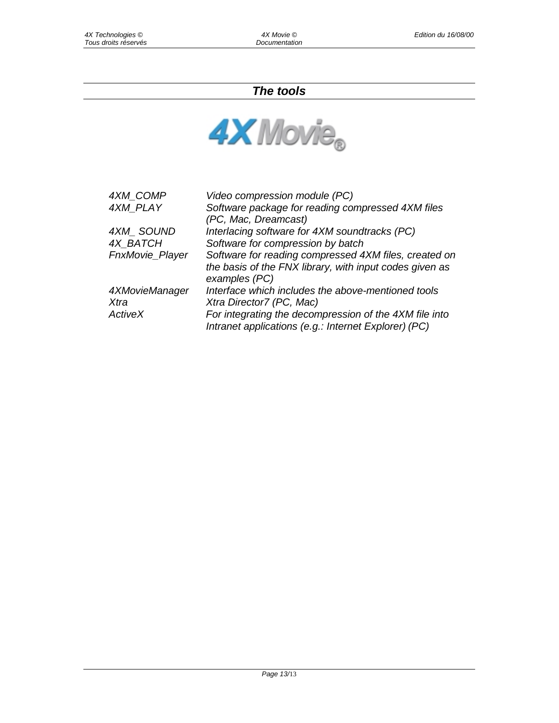# *The tools*



| 4XM COMP        | Video compression module (PC)                                                                                                     |
|-----------------|-----------------------------------------------------------------------------------------------------------------------------------|
| 4XM PLAY        | Software package for reading compressed 4XM files<br>(PC, Mac, Dreamcast)                                                         |
| 4XM SOUND       | Interlacing software for 4XM soundtracks (PC)                                                                                     |
| 4X_BATCH        | Software for compression by batch                                                                                                 |
| FnxMovie_Player | Software for reading compressed 4XM files, created on<br>the basis of the FNX library, with input codes given as<br>examples (PC) |
| 4XMovieManager  | Interface which includes the above-mentioned tools                                                                                |
| Xtra            | Xtra Director7 (PC, Mac)                                                                                                          |
| ActiveX         | For integrating the decompression of the 4XM file into<br>Intranet applications (e.g.: Internet Explorer) (PC)                    |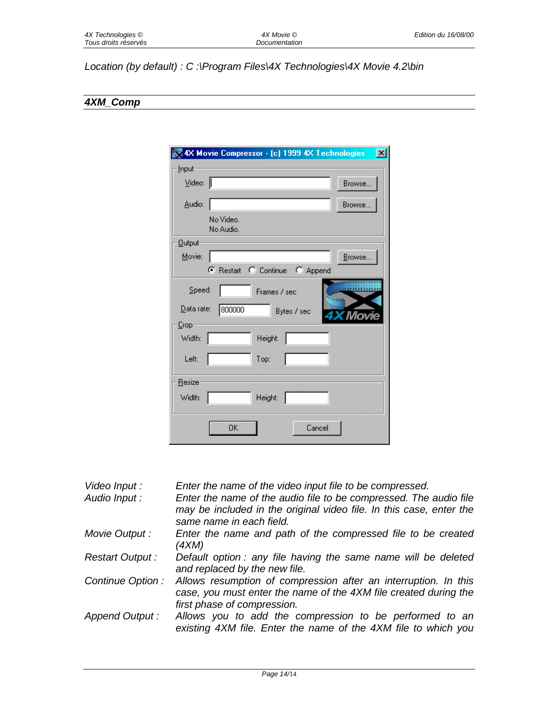# *Location (by default) : C :\Program Files\4X Technologies\4X Movie 4.2\bin*

# *4XM\_Comp*

|                          | 4X Movie Compressor - (c) 1999 4X Technologies | $\vert x \vert$ |
|--------------------------|------------------------------------------------|-----------------|
| Input                    |                                                |                 |
| $\vee$ ideo: $\parallel$ |                                                | Browse          |
| Audio:                   |                                                | Browse          |
|                          | No Video.<br>No Audio.                         |                 |
| <b>Qutput</b>            |                                                |                 |
| Movie:                   |                                                | Browse          |
|                          | C Restart C Continue C Append                  |                 |
| Speed:<br>Data rate:     | Frames / sec<br>800000                         |                 |
| Crop                     | Bytes / sec                                    | Movie           |
| Width:                   | Height:                                        |                 |
| Left:                    | Top:                                           |                 |
| <b>Resize</b>            |                                                |                 |
| Width:                   | Height:                                        |                 |
|                          | 0K<br>Cancel                                   |                 |

| Video Input :<br>Audio Input: | Enter the name of the video input file to be compressed.<br>Enter the name of the audio file to be compressed. The audio file<br>may be included in the original video file. In this case, enter the<br>same name in each field. |
|-------------------------------|----------------------------------------------------------------------------------------------------------------------------------------------------------------------------------------------------------------------------------|
| Movie Output :                | Enter the name and path of the compressed file to be created<br>(4XM)                                                                                                                                                            |
| Restart Output:               | Default option : any file having the same name will be deleted<br>and replaced by the new file.                                                                                                                                  |
| Continue Option :             | Allows resumption of compression after an interruption. In this<br>case, you must enter the name of the 4XM file created during the<br>first phase of compression.                                                               |
| Append Output:                | Allows you to add the compression to be performed to an<br>existing 4XM file. Enter the name of the 4XM file to which you                                                                                                        |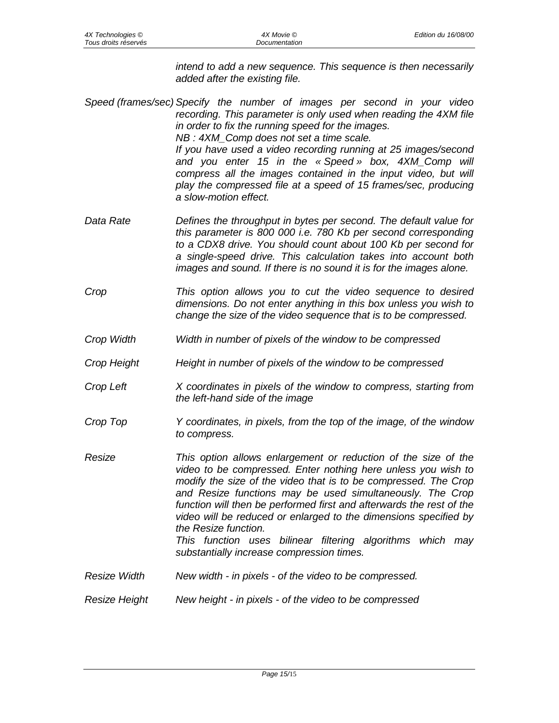*intend to add a new sequence. This sequence is then necessarily added after the existing file.* 

*Speed (frames/sec) Specify the number of images per second in your video recording. This parameter is only used when reading the 4XM file in order to fix the running speed for the images. NB : 4XM\_Comp does not set a time scale. If you have used a video recording running at 25 images/second and you enter 15 in the « Speed » box, 4XM\_Comp will compress all the images contained in the input video, but will play the compressed file at a speed of 15 frames/sec, producing a slow-motion effect.* 

- *Data Rate Defines the throughput in bytes per second. The default value for this parameter is 800 000 i.e. 780 Kb per second corresponding to a CDX8 drive. You should count about 100 Kb per second for a single-speed drive. This calculation takes into account both images and sound. If there is no sound it is for the images alone.*
- *Crop This option allows you to cut the video sequence to desired dimensions. Do not enter anything in this box unless you wish to change the size of the video sequence that is to be compressed.*
- *Crop Width Width in number of pixels of the window to be compressed*
- *Crop Height Height in number of pixels of the window to be compressed*
- *Crop Left X coordinates in pixels of the window to compress, starting from the left-hand side of the image*
- *Crop Top Y coordinates, in pixels, from the top of the image, of the window to compress.*
- *Resize This option allows enlargement or reduction of the size of the video to be compressed. Enter nothing here unless you wish to modify the size of the video that is to be compressed. The Crop and Resize functions may be used simultaneously. The Crop function will then be performed first and afterwards the rest of the video will be reduced or enlarged to the dimensions specified by the Resize function. This function uses bilinear filtering algorithms which may substantially increase compression times.*
- *Resize Width New width in pixels of the video to be compressed.*
- *Resize Height New height in pixels of the video to be compressed*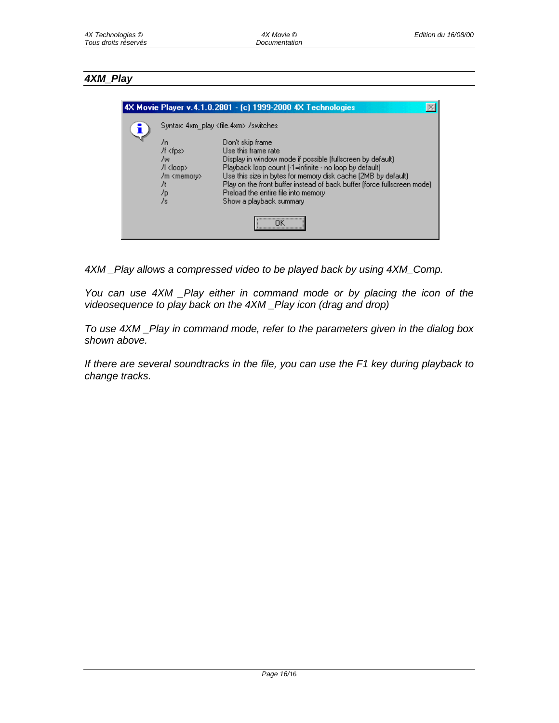## *4XM\_Play*

|                                                                                          | 4X Movie Player v.4.1.0.2801 - (c) 1999-2000 4X Technologies                                                                                                                                                                                                                                                                                                                      |  |
|------------------------------------------------------------------------------------------|-----------------------------------------------------------------------------------------------------------------------------------------------------------------------------------------------------------------------------------------------------------------------------------------------------------------------------------------------------------------------------------|--|
| Syntax: 4xm play <file.4xm> /switches</file.4xm>                                         |                                                                                                                                                                                                                                                                                                                                                                                   |  |
| /n<br>/f <fps><br/>7w.<br/>/l <loop><br/>/m <memory><br/>/p<br/>/s</memory></loop></fps> | Don't skip frame<br>Use this frame rate<br>Display in window mode if possible (fullscreen by default)<br>Playback loop count [-1=infinite - no loop by default]<br>Use this size in bytes for memory disk cache (2MB by default)<br>Play on the front buffer instead of back buffer (force fullscreen mode)<br>Preload the entire file into memory<br>Show a playback summary<br> |  |

*4XM \_Play allows a compressed video to be played back by using 4XM\_Comp.* 

*You can use 4XM \_Play either in command mode or by placing the icon of the videosequence to play back on the 4XM \_Play icon (drag and drop)* 

*To use 4XM \_Play in command mode, refer to the parameters given in the dialog box shown above.* 

*If there are several soundtracks in the file, you can use the F1 key during playback to change tracks.*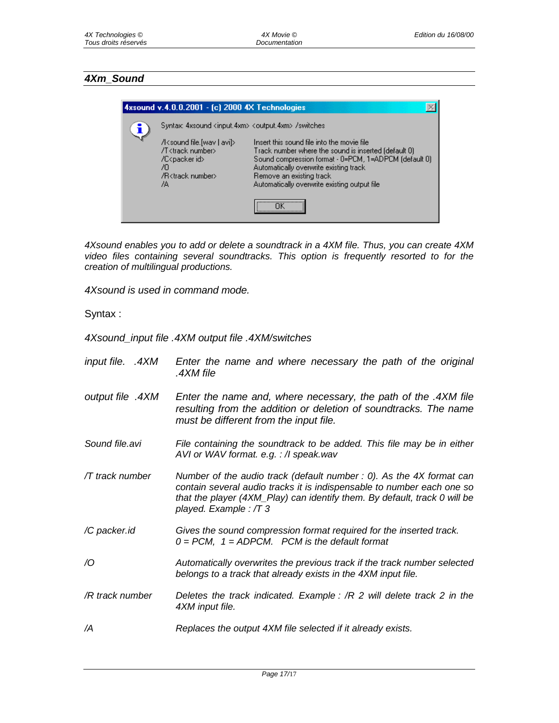# *4Xm\_Sound*

| 4xsound v.4.0.0.2001 - [c] 2000 4X Technologies                                                                                            |                                                                                                                                                                                                                                                                                        |
|--------------------------------------------------------------------------------------------------------------------------------------------|----------------------------------------------------------------------------------------------------------------------------------------------------------------------------------------------------------------------------------------------------------------------------------------|
| Syntax: 4xsound <input.4xm> <output.4xm> /switches</output.4xm></input.4xm>                                                                |                                                                                                                                                                                                                                                                                        |
| /l <sound avi]="" file.[wav=""  =""><br/>/T<track number=""/><br/>/C<packer id=""><br/>70<br/>/B<track number=""/><br/>7A</packer></sound> | Insert this sound file into the movie file.<br>Track number where the sound is inserted (default 0)<br>Sound compression format - 0=PCM, 1=ADPCM (default 0)<br>Automatically overwrite existing track<br>Remove an existing track<br>Automatically overwrite existing output file<br> |

*4Xsound enables you to add or delete a soundtrack in a 4XM file. Thus, you can create 4XM video files containing several soundtracks. This option is frequently resorted to for the creation of multilingual productions.* 

*4Xsound is used in command mode.* 

Syntax :

*4Xsound\_input file .4XM output file .4XM/switches* 

*input file. .4XM Enter the name and where necessary the path of the original .4XM file output file .4XM Enter the name and, where necessary, the path of the .4XM file resulting from the addition or deletion of soundtracks. The name must be different from the input file. Sound file.avi File containing the soundtrack to be added. This file may be in either AVI or WAV format. e.g. : /I speak.wav /T track number Number of the audio track (default number : 0). As the 4X format can contain several audio tracks it is indispensable to number each one so that the player (4XM\_Play) can identify them. By default, track 0 will be played. Example : /T 3 /C packer.id Gives the sound compression format required for the inserted track. 0 = PCM, 1 = ADPCM. PCM is the default format /O Automatically overwrites the previous track if the track number selected belongs to a track that already exists in the 4XM input file. /R track number Deletes the track indicated. Example : /R 2 will delete track 2 in the 4XM input file. /A Replaces the output 4XM file selected if it already exists.*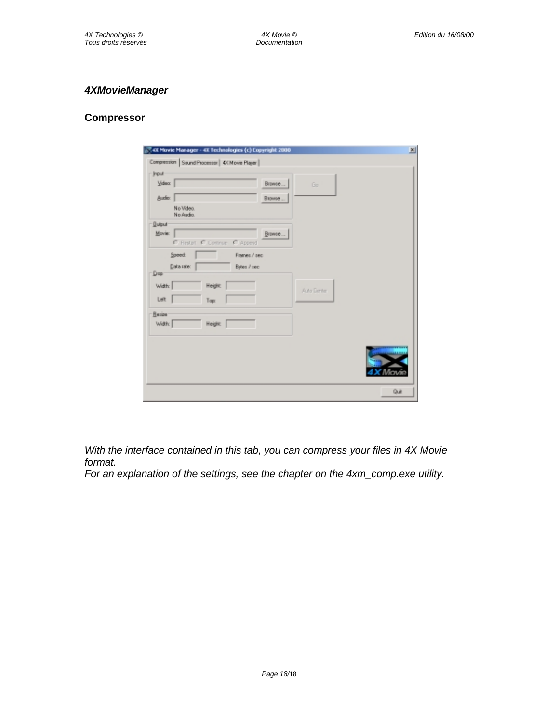## *4XMovieManager*

#### **Compressor**

| <b>Irout</b>                         | Compression   Sound Processor   4/( Movie Player |             |                    |  |
|--------------------------------------|--------------------------------------------------|-------------|--------------------|--|
| Video:                               |                                                  | Browse      | Go                 |  |
| <b>Audio:</b>                        |                                                  | Blowse      |                    |  |
| No Video.<br>No Audio.               |                                                  |             |                    |  |
| <b>Quiput</b>                        |                                                  |             |                    |  |
| Movie:                               | C Restat C Contrar<br>C Append                   | Browse      |                    |  |
| Data rate:<br>Drap<br>Width:<br>Left | Height                                           | Bytes / sec | <b>Auto Denter</b> |  |
|                                      | Tap:                                             |             |                    |  |
|                                      |                                                  |             |                    |  |
| <b>Herios</b><br>Width:              | <b>Height</b>                                    |             |                    |  |
|                                      |                                                  |             |                    |  |

*With the interface contained in this tab, you can compress your files in 4X Movie format.* 

*For an explanation of the settings, see the chapter on the 4xm\_comp.exe utility.*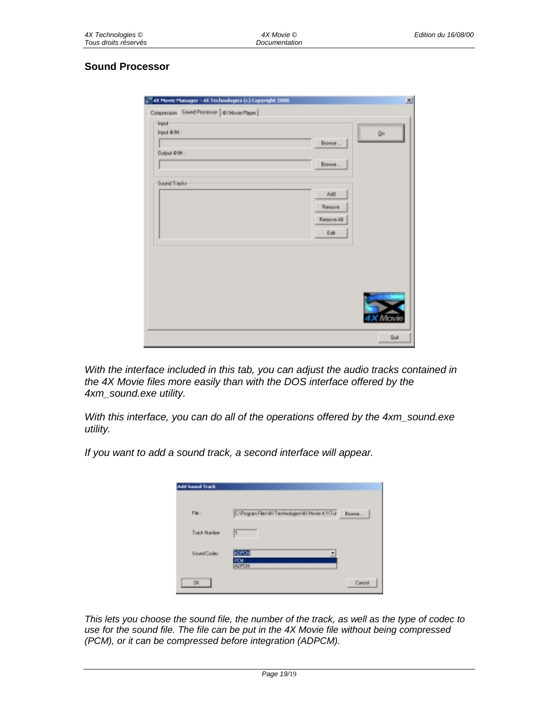# **Sound Processor**

| Input 4/04:   | <b>Go</b>  |  |
|---------------|------------|--|
|               | Browse     |  |
| Окрыт ФОИ:    |            |  |
|               | Browse     |  |
| Sound Tradice |            |  |
|               | Add        |  |
|               | Renove     |  |
|               | Renove All |  |
|               | Ede        |  |
|               |            |  |
|               |            |  |
|               |            |  |
|               |            |  |
|               |            |  |
|               |            |  |

*With the interface included in this tab, you can adjust the audio tracks contained in the 4X Movie files more easily than with the DOS interface offered by the 4xm\_sound.exe utility.* 

*With this interface, you can do all of the operations offered by the 4xm\_sound.exe utility.* 

*If you want to add a sound track, a second interface will appear.*

| <b>Add Sound Track</b> |                                                     |        |
|------------------------|-----------------------------------------------------|--------|
| File:                  | C/VPtogram Files/UDI Technologies/VDI Moxie 4.11Tut | Browns |
| Track Number           | h                                                   |        |
| Sound Codeo            | ADPON<br>Ξ<br>PEM<br><b>ADPON</b>                   |        |
| OK.                    |                                                     | Careel |

*This lets you choose the sound file, the number of the track, as well as the type of codec to use for the sound file. The file can be put in the 4X Movie file without being compressed (PCM), or it can be compressed before integration (ADPCM).*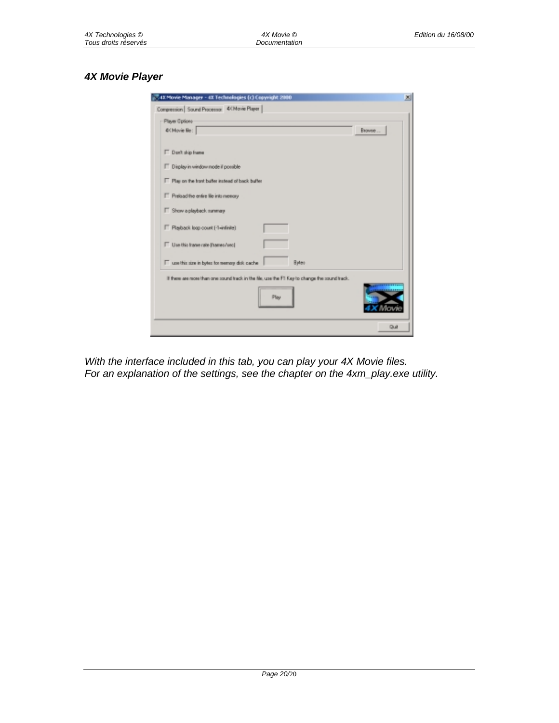# *4X Movie Player*

| 7.4X Movie Manager - 4X Technologies (c) Copyright 2000                                       | 凶 |
|-----------------------------------------------------------------------------------------------|---|
| Compression   Sound Processor 4/4 Movie Player                                                |   |
| - Player Options                                                                              |   |
| <b>CCMovie Re:</b><br>Browne                                                                  |   |
| IT Don't skip hame                                                                            |   |
| T Display in window mode if possible                                                          |   |
| F Play on the tront buffer instead of back buffer                                             |   |
| F Preload the entire file into memory                                                         |   |
| F Show a playback summary                                                                     |   |
| F Plasback loop count [-1-infinite]                                                           |   |
| Use this frame rate (hames/sec)                                                               |   |
| T use this size in bytes for memory disk cache<br>Bytes                                       |   |
| If there are more than one sound track in the file, use the F1 Key to change the sound track. |   |
| Play                                                                                          |   |
| Quit                                                                                          |   |

*With the interface included in this tab, you can play your 4X Movie files. For an explanation of the settings, see the chapter on the 4xm\_play.exe utility.*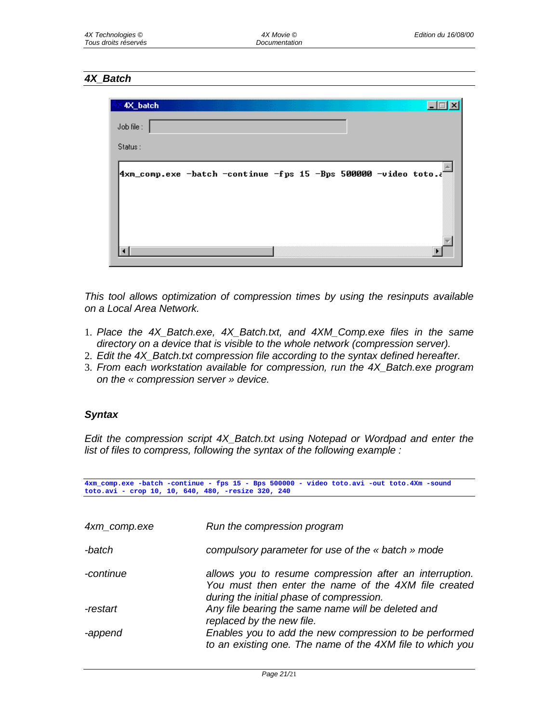# *4X\_Batch*

| 4X_batch                                                               |  |  |  |
|------------------------------------------------------------------------|--|--|--|
| Job file:                                                              |  |  |  |
| Status:                                                                |  |  |  |
| <b>4xm_comp.exe -batch -continue -fps 15 -Bps 500000 -video toto.a</b> |  |  |  |
|                                                                        |  |  |  |
|                                                                        |  |  |  |
|                                                                        |  |  |  |
|                                                                        |  |  |  |

*This tool allows optimization of compression times by using the resinputs available on a Local Area Network.* 

- 1. *Place the 4X\_Batch.exe, 4X\_Batch.txt, and 4XM\_Comp.exe files in the same directory on a device that is visible to the whole network (compression server).*
- 2. *Edit the 4X\_Batch.txt compression file according to the syntax defined hereafter.*
- 3. *From each workstation available for compression, run the 4X\_Batch.exe program on the « compression server » device.*

## *Syntax*

*Edit the compression script 4X\_Batch.txt using Notepad or Wordpad and enter the list of files to compress, following the syntax of the following example :* 

**4xm\_comp.exe -batch -continue - fps 15 - Bps 500000 - video toto.avi -out toto.4Xm -sound toto.avi - crop 10, 10, 640, 480, -resize 320, 240**

| 4xm_comp.exe | Run the compression program                                                                                                                                 |
|--------------|-------------------------------------------------------------------------------------------------------------------------------------------------------------|
| -batch       | compulsory parameter for use of the « batch » mode                                                                                                          |
| -continue    | allows you to resume compression after an interruption.<br>You must then enter the name of the 4XM file created<br>during the initial phase of compression. |
| -restart     | Any file bearing the same name will be deleted and<br>replaced by the new file.                                                                             |
| -append      | Enables you to add the new compression to be performed<br>to an existing one. The name of the 4XM file to which you                                         |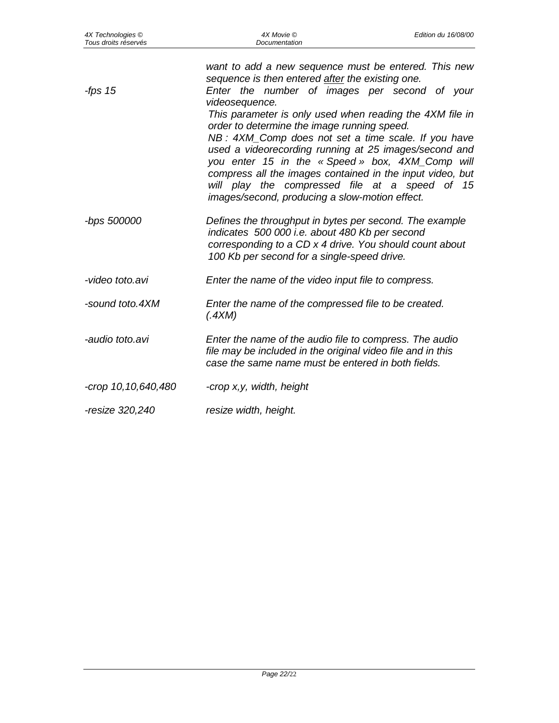| 4X Technologies ©<br>Tous droits réservés | 4X Movie ©<br>Documentation                                                                                                                                                                                                                                                                                                                                                                                                                                | Edition du 16/08/00 |
|-------------------------------------------|------------------------------------------------------------------------------------------------------------------------------------------------------------------------------------------------------------------------------------------------------------------------------------------------------------------------------------------------------------------------------------------------------------------------------------------------------------|---------------------|
| -fps $15$                                 | want to add a new sequence must be entered. This new<br>sequence is then entered after the existing one.<br>Enter the number of images per second of your<br>videosequence.<br>This parameter is only used when reading the 4XM file in<br>order to determine the image running speed.<br>NB: 4XM_Comp does not set a time scale. If you have<br>used a videorecording running at 25 images/second and<br>you enter 15 in the « Speed » box, 4XM_Comp will |                     |
|                                           | compress all the images contained in the input video, but<br>will play the compressed file at a speed of 15<br>images/second, producing a slow-motion effect.                                                                                                                                                                                                                                                                                              |                     |
| -bps 500000                               | Defines the throughput in bytes per second. The example<br>indicates 500 000 i.e. about 480 Kb per second<br>corresponding to a CD x 4 drive. You should count about<br>100 Kb per second for a single-speed drive.                                                                                                                                                                                                                                        |                     |
| -video toto.avi                           | Enter the name of the video input file to compress.                                                                                                                                                                                                                                                                                                                                                                                                        |                     |
| -sound toto.4XM                           | Enter the name of the compressed file to be created.<br>(AXM)                                                                                                                                                                                                                                                                                                                                                                                              |                     |
| -audio toto.avi                           | Enter the name of the audio file to compress. The audio<br>file may be included in the original video file and in this<br>case the same name must be entered in both fields.                                                                                                                                                                                                                                                                               |                     |
| -crop 10,10,640,480                       | -crop x,y, width, height                                                                                                                                                                                                                                                                                                                                                                                                                                   |                     |
| -resize 320,240                           | resize width, height.                                                                                                                                                                                                                                                                                                                                                                                                                                      |                     |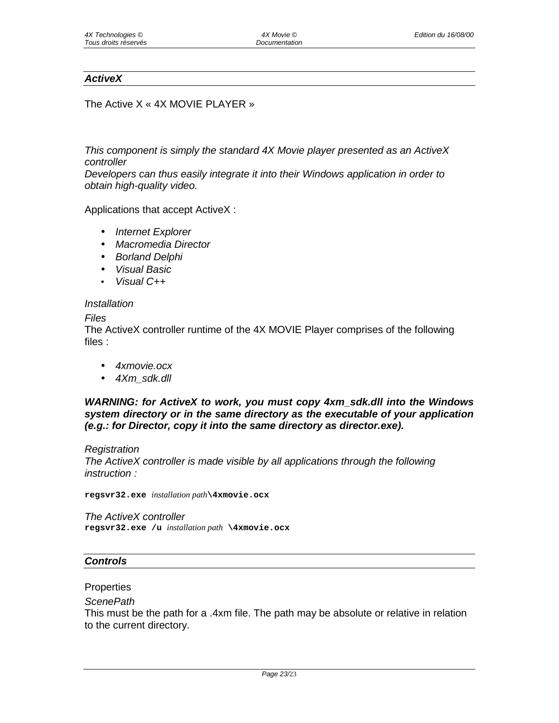## *ActiveX*

The Active X « 4X MOVIE PLAYER »

*This component is simply the standard 4X Movie player presented as an ActiveX controller* 

*Developers can thus easily integrate it into their Windows application in order to obtain high-quality video.*

Applications that accept ActiveX :

- *Internet Explorer*
- *Macromedia Director*
- *Borland Delphi*
- *Visual Basic*
- *Visual C++*

#### *Installation*

#### *Files*

The ActiveX controller runtime of the 4X MOVIE Player comprises of the following files :

- *4xmovie.ocx*
- *4Xm\_sdk.dll*

*WARNING: for ActiveX to work, you must copy 4xm\_sdk.dll into the Windows system directory or in the same directory as the executable of your application (e.g.: for Director, copy it into the same directory as director.exe).* 

#### *Registration*

*The ActiveX controller is made visible by all applications through the following instruction :* 

**regsvr32.exe** *installation path***\4xmovie.ocx**

*The ActiveX controller*  **regsvr32.exe /u** *installation path* **\4xmovie.ocx**

#### *Controls*

#### **Properties**

#### *ScenePath*

This must be the path for a .4xm file. The path may be absolute or relative in relation to the current directory.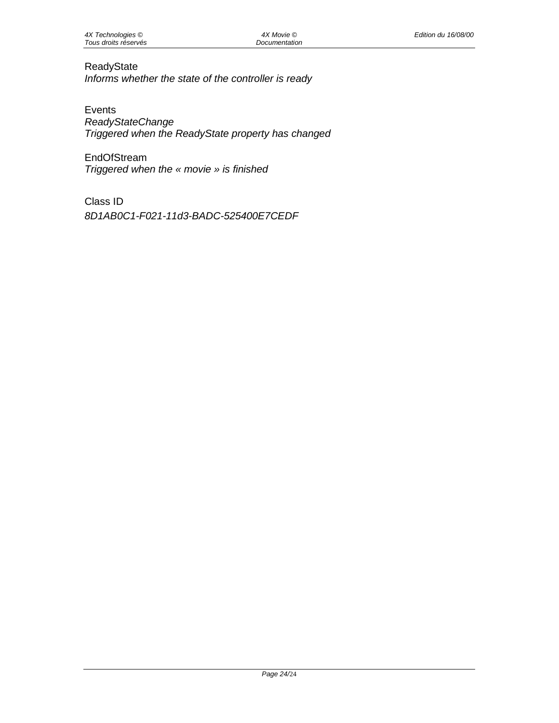# ReadyState

*Informs whether the state of the controller is ready* 

Events *ReadyStateChange Triggered when the ReadyState property has changed* 

**EndOfStream** *Triggered when the « movie » is finished* 

Class ID *8D1AB0C1-F021-11d3-BADC-525400E7CEDF*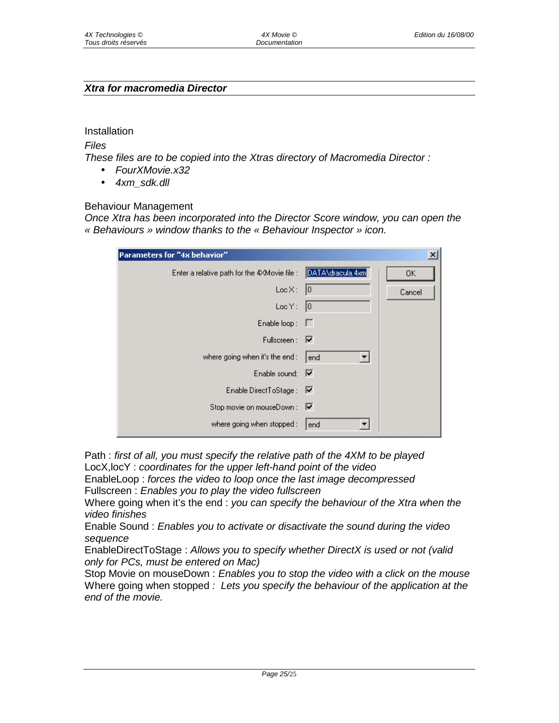# *Xtra for macromedia Director*

Installation

*Files* 

*These files are to be copied into the Xtras directory of Macromedia Director :* 

- *FourXMovie.x32*
- *4xm\_sdk.dll*

Behaviour Management

*Once Xtra has been incorporated into the Director Score window, you can open the « Behaviours » window thanks to the « Behaviour Inspector » icon.* 

| Parameters for "4x behavior"                 |                  | ×      |
|----------------------------------------------|------------------|--------|
| Enter a relative path for the 4XMovie file : | DATA\dracula.4xm | OK     |
| LocX:                                        | 10               | Cancel |
| LocY:                                        | 0                |        |
| Enable loop: $\Gamma$                        |                  |        |
| Fullscreen: $\nabla$                         |                  |        |
| where going when it's the end :              | end              |        |
| Enable sound: $\nabla$                       |                  |        |
| Enable DirectToStage : V                     |                  |        |
| Stop movie on mouseDown : V                  |                  |        |
| where going when stopped :                   | end              |        |

Path : *first of all, you must specify the relative path of the 4XM to be played*  LocX,locY : *coordinates for the upper left-hand point of the video*  EnableLoop : *forces the video to loop once the last image decompressed* 

Fullscreen : *Enables you to play the video fullscreen* 

Where going when it's the end : *you can specify the behaviour of the Xtra when the video finishes* 

Enable Sound : *Enables you to activate or disactivate the sound during the video sequence* 

EnableDirectToStage : *Allows you to specify whether DirectX is used or not (valid only for PCs, must be entered on Mac)* 

Stop Movie on mouseDown : *Enables you to stop the video with a click on the mouse* Where going when stopped *: Lets you specify the behaviour of the application at the end of the movie.*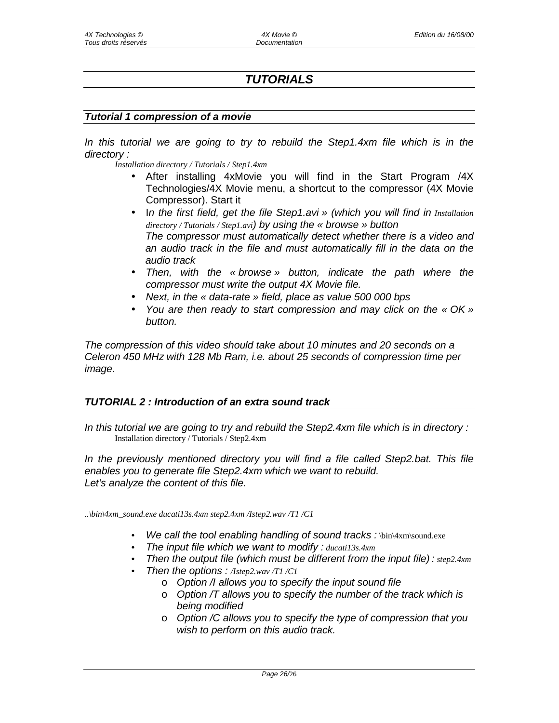# *TUTORIALS*

#### *Tutorial 1 compression of a movie*

*In this tutorial we are going to try to rebuild the Step1.4xm file which is in the directory :* 

*Installation directory / Tutorials / Step1.4xm* 

- After installing 4xMovie you will find in the Start Program /4X Technologies/4X Movie menu, a shortcut to the compressor (4X Movie Compressor). Start it
- In the first field, get the file Step1.avi » (which you will find in *Installation directory / Tutorials / Step1.avi) by using the « browse » button The compressor must automatically detect whether there is a video and an audio track in the file and must automatically fill in the data on the audio track*
- *Then, with the « browse » button, indicate the path where the compressor must write the output 4X Movie file.*
- *Next, in the « data-rate » field, place as value 500 000 bps*
- *You are then ready to start compression and may click on the « OK » button.*

*The compression of this video should take about 10 minutes and 20 seconds on a Celeron 450 MHz with 128 Mb Ram, i.e. about 25 seconds of compression time per image.* 

## *TUTORIAL 2 : Introduction of an extra sound track*

In this tutorial we are going to try and rebuild the Step2.4xm file which is in directory : Installation directory / Tutorials / Step2.4xm

*In the previously mentioned directory you will find a file called Step2.bat. This file enables you to generate file Step2.4xm which we want to rebuild. Let's analyze the content of this file.* 

*..\bin\4xm\_sound.exe ducati13s.4xm step2.4xm /Istep2.wav /T1 /C1* 

- *We call the tool enabling handling of sound tracks :* \bin\4xm\sound.exe
- *The input file which we want to modify : ducati13s.4xm*
- *Then the output file (which must be different from the input file) : step2.4xm*
- *Then the options : /Istep2.wav /T1 /C1* 
	- o *Option /I allows you to specify the input sound file*
	- o *Option /T allows you to specify the number of the track which is being modified*
	- o *Option /C allows you to specify the type of compression that you wish to perform on this audio track.*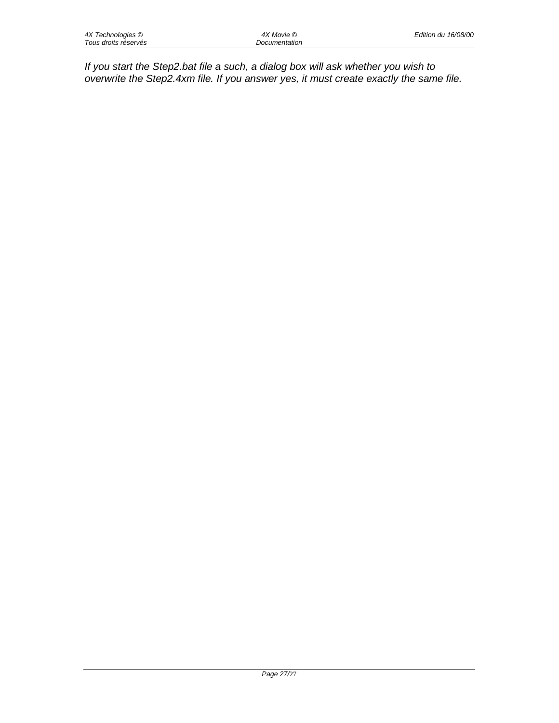*If you start the Step2.bat file a such, a dialog box will ask whether you wish to overwrite the Step2.4xm file. If you answer yes, it must create exactly the same file.*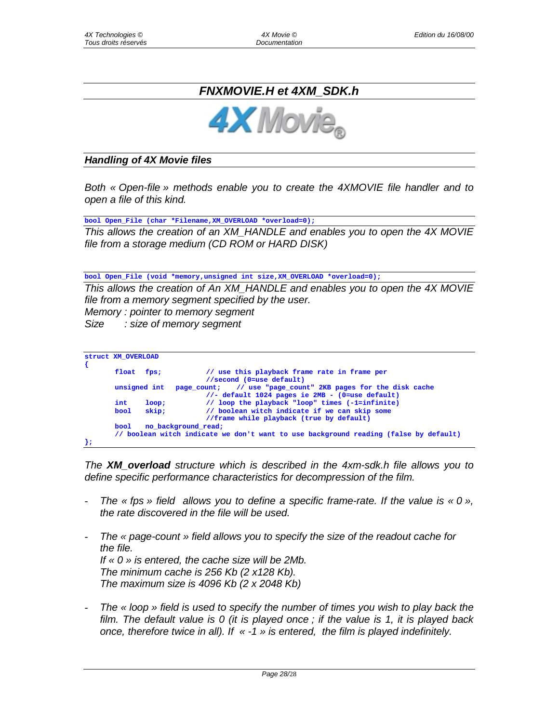# *FNXMOVIE.H et 4XM\_SDK.h*



*Handling of 4X Movie files* 

*Both « Open-file » methods enable you to create the 4XMOVIE file handler and to open a file of this kind.* 

**bool Open\_File (char \*Filename,XM\_OVERLOAD \*overload=0);**

*This allows the creation of an XM\_HANDLE and enables you to open the 4X MOVIE file from a storage medium (CD ROM or HARD DISK)* 

**bool Open\_File (void \*memory,unsigned int size,XM\_OVERLOAD \*overload=0);**

*This allows the creation of An XM\_HANDLE and enables you to open the 4X MOVIE file from a memory segment specified by the user. Memory : pointer to memory segment* 

*Size : size of memory segment* 

| <b>Struct XM OVERLOAD</b> |              |                                                                                      |
|---------------------------|--------------|--------------------------------------------------------------------------------------|
| float                     | fps;         | // use this playback frame rate in frame per                                         |
|                           |              | //second (0=use default)                                                             |
|                           | unsigned int | // use "page count" 2KB pages for the disk cache<br>page count:                      |
|                           |              | $//$ - default 1024 pages ie 2MB - (0=use default)                                   |
| int                       | loop:        | // loop the playback "loop" times (-1=infinite)                                      |
| bool                      | skip:        | // boolean witch indicate if we can skip some                                        |
|                           |              | //frame while playback (true by default)                                             |
| bool                      |              | no background read;                                                                  |
|                           |              | // boolean witch indicate we don't want to use background reading (false by default) |
|                           |              |                                                                                      |

*The XM\_overload structure which is described in the 4xm-sdk.h file allows you to define specific performance characteristics for decompression of the film.* 

- The « fps » field allows you to define a specific frame-rate. If the value is « 0 », *the rate discovered in the file will be used.*
- *The « page-count » field allows you to specify the size of the readout cache for the file. If « 0 » is entered, the cache size will be 2Mb. The minimum cache is 256 Kb (2 x128 Kb). The maximum size is 4096 Kb (2 x 2048 Kb)*
- The « loop » field is used to specify the number of times you wish to play back the *film. The default value is 0 (it is played once ; if the value is 1, it is played back once, therefore twice in all). If « -1 » is entered, the film is played indefinitely.*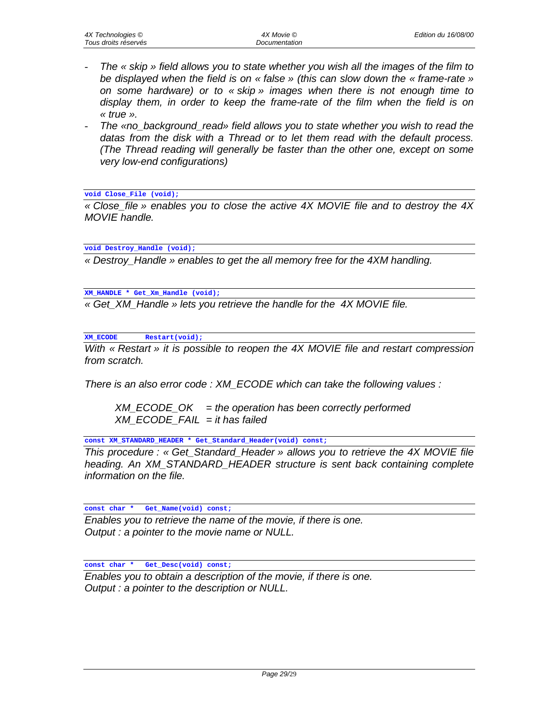- *The « skip » field allows you to state whether you wish all the images of the film to be displayed when the field is on « false » (this can slow down the « frame-rate » on some hardware) or to « skip » images when there is not enough time to display them, in order to keep the frame-rate of the film when the field is on « true ».*
- *The «no\_background\_read» field allows you to state whether you wish to read the datas from the disk with a Thread or to let them read with the default process. (The Thread reading will generally be faster than the other one, except on some very low-end configurations)*

**void Close\_File (void);**

*« Close\_file » enables you to close the active 4X MOVIE file and to destroy the 4X MOVIE handle.* 

**void Destroy\_Handle (void);**

*« Destroy\_Handle » enables to get the all memory free for the 4XM handling.* 

**XM\_HANDLE \* Get\_Xm\_Handle (void);**

*« Get\_XM\_Handle » lets you retrieve the handle for the 4X MOVIE file.* 

**XM\_ECODE Restart(void);**

*With « Restart » it is possible to reopen the 4X MOVIE file and restart compression from scratch.* 

*There is an also error code : XM\_ECODE which can take the following values :* 

 *XM\_ECODE\_OK = the operation has been correctly performed XM\_ECODE\_FAIL = it has failed* 

**const XM\_STANDARD\_HEADER \* Get\_Standard\_Header(void) const;**

*This procedure : « Get\_Standard\_Header » allows you to retrieve the 4X MOVIE file heading. An XM\_STANDARD\_HEADER structure is sent back containing complete information on the file.* 

**const char \* Get\_Name(void) const;**

*Enables you to retrieve the name of the movie, if there is one. Output : a pointer to the movie name or NULL.* 

**const char \* Get\_Desc(void) const;**

*Enables you to obtain a description of the movie, if there is one. Output : a pointer to the description or NULL.*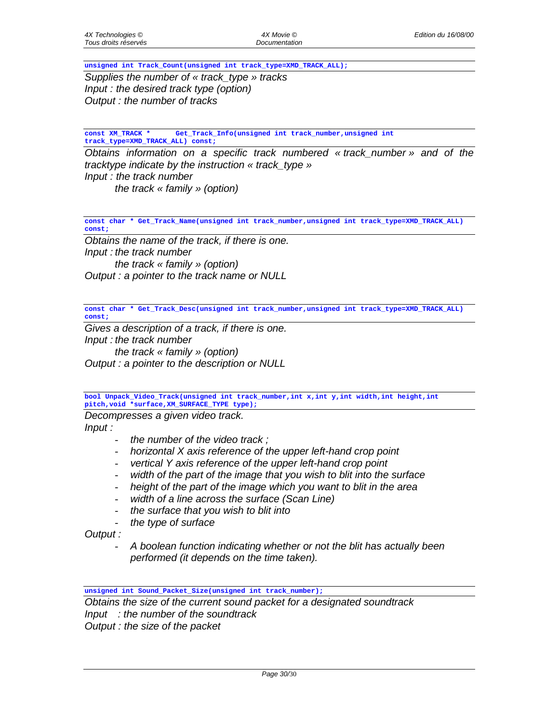**unsigned int Track\_Count(unsigned int track\_type=XMD\_TRACK\_ALL);**

*Supplies the number of « track\_type » tracks Input : the desired track type (option) Output : the number of tracks* 

**const XM\_TRACK \* Get\_Track\_Info(unsigned int track\_number,unsigned int track\_type=XMD\_TRACK\_ALL) const;**

*Obtains information on a specific track numbered « track\_number » and of the tracktype indicate by the instruction « track\_type » Input : the track number the track « family » (option)* 

**const char \* Get\_Track\_Name(unsigned int track\_number,unsigned int track\_type=XMD\_TRACK\_ALL) const;**

*Obtains the name of the track, if there is one. Input : the track number the track « family » (option) Output : a pointer to the track name or NULL* 

**const char \* Get\_Track\_Desc(unsigned int track\_number,unsigned int track\_type=XMD\_TRACK\_ALL) const;**

*Gives a description of a track, if there is one. Input : the track number the track « family » (option) Output : a pointer to the description or NULL* 

**bool Unpack\_Video\_Track(unsigned int track\_number,int x,int y,int width,int height,int pitch,void \*surface,XM\_SURFACE\_TYPE type);**

*Decompresses a given video track.* 

*Input :* 

- *the number of the video track ;*
- *horizontal X axis reference of the upper left-hand crop point*
- *vertical Y axis reference of the upper left-hand crop point*
- width of the part of the image that you wish to blit into the surface
- height of the part of the *image which you want to blit in the area*
- *width of a line across the surface (Scan Line)*
- *the surface that you wish to blit into*
- *the type of surface*

*Output :* 

- *A boolean function indicating whether or not the blit has actually been performed (it depends on the time taken).* 

**unsigned int Sound\_Packet\_Size(unsigned int track\_number);**

*Obtains the size of the current sound packet for a designated soundtrack Input : the number of the soundtrack Output : the size of the packet* 

*Page 30/*30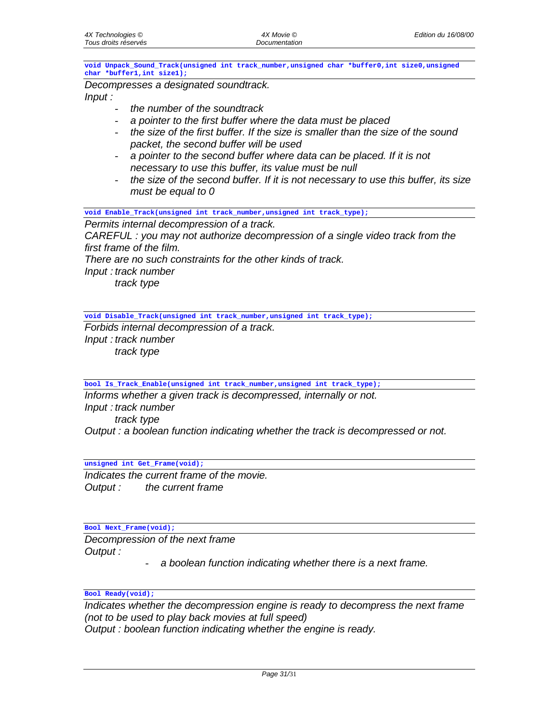**void Unpack\_Sound\_Track(unsigned int track\_number,unsigned char \*buffer0,int size0,unsigned char \*buffer1,int size1);**

*Decompresses a designated soundtrack.* 

*Input :* 

- *the number of the soundtrack*
- *a pointer to the first buffer where the data must be placed*
- *the size of the first buffer. If the size is smaller than the size of the sound packet, the second buffer will be used*
- *a pointer to the second buffer where data can be placed. If it is not necessary to use this buffer, its value must be null*
- *the size of the second buffer. If it is not necessary to use this buffer, its size must be equal to 0*

**void Enable\_Track(unsigned int track\_number,unsigned int track\_type);**

*Permits internal decompression of a track.* 

*CAREFUL : you may not authorize decompression of a single video track from the first frame of the film.* 

*There are no such constraints for the other kinds of track.* 

*Input : track number* 

 *track type* 

**void Disable\_Track(unsigned int track\_number,unsigned int track\_type);**

*Forbids internal decompression of a track. Input : track number track type* 

**bool Is\_Track\_Enable(unsigned int track\_number,unsigned int track\_type);**

*Informs whether a given track is decompressed, internally or not. Input : track number track type Output : a boolean function indicating whether the track is decompressed or not.* 

**unsigned int Get\_Frame(void);**

*Indicates the current frame of the movie. Output : the current frame* 

**Bool Next\_Frame(void);**

*Decompression of the next frame Output :* 

- *a boolean function indicating whether there is a next frame.* 

**Bool Ready(void);**

*Indicates whether the decompression engine is ready to decompress the next frame (not to be used to play back movies at full speed) Output : boolean function indicating whether the engine is ready.*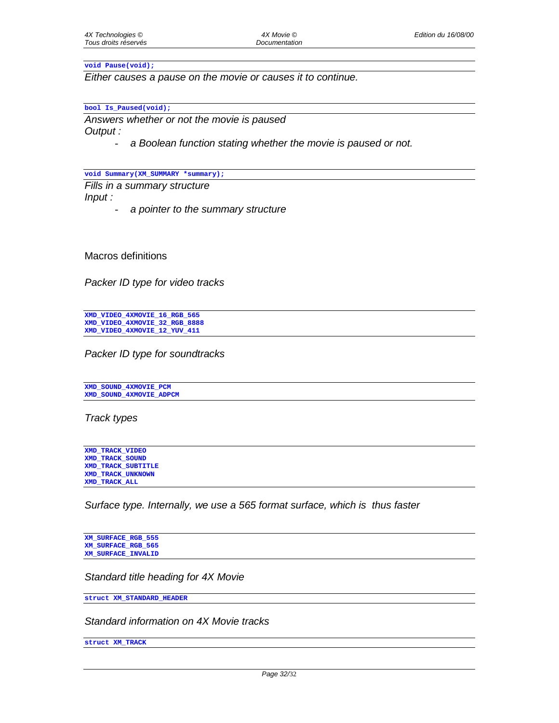#### **void Pause(void);**

*Either causes a pause on the movie or causes it to continue.* 

#### **bool Is\_Paused(void);**

*Answers whether or not the movie is paused Output :* 

- *a Boolean function stating whether the movie is paused or not.* 

**void Summary(XM\_SUMMARY \*summary);**

*Fills in a summary structure Input :* 

- *a pointer to the summary structure* 

Macros definitions

*Packer ID type for video tracks* 

**XMD\_VIDEO\_4XMOVIE\_16\_RGB\_565 XMD\_VIDEO\_4XMOVIE\_32\_RGB\_8888 XMD\_VIDEO\_4XMOVIE\_12\_YUV\_411**

*Packer ID type for soundtracks*

**XMD\_SOUND\_4XMOVIE\_PCM XMD\_SOUND\_4XMOVIE\_ADPCM**

*Track types* 

**XMD\_TRACK\_VIDEO XMD\_TRACK\_SOUND XMD\_TRACK\_SUBTITLE XMD\_TRACK\_UNKNOWN XMD\_TRACK\_ALL**

*Surface type. Internally, we use a 565 format surface, which is thus faster* 

**XM\_SURFACE\_RGB\_555 XM\_SURFACE\_RGB\_565 XM\_SURFACE\_INVALID**

*Standard title heading for 4X Movie* 

**struct XM\_STANDARD\_HEADER**

*Standard information on 4X Movie tracks* 

**struct XM\_TRACK**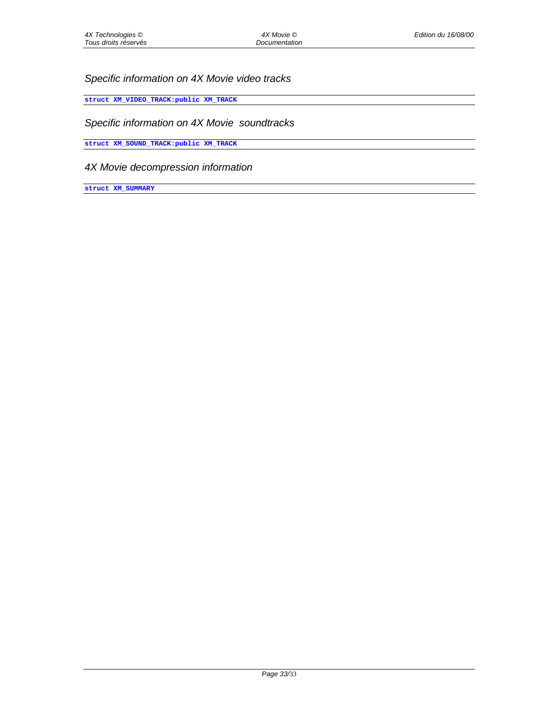# *Specific information on 4X Movie video tracks*

**struct XM\_VIDEO\_TRACK:public XM\_TRACK**

#### *Specific information on 4X Movie soundtracks*

**struct XM\_SOUND\_TRACK:public XM\_TRACK**

# *4X Movie decompression information*

**struct XM\_SUMMARY**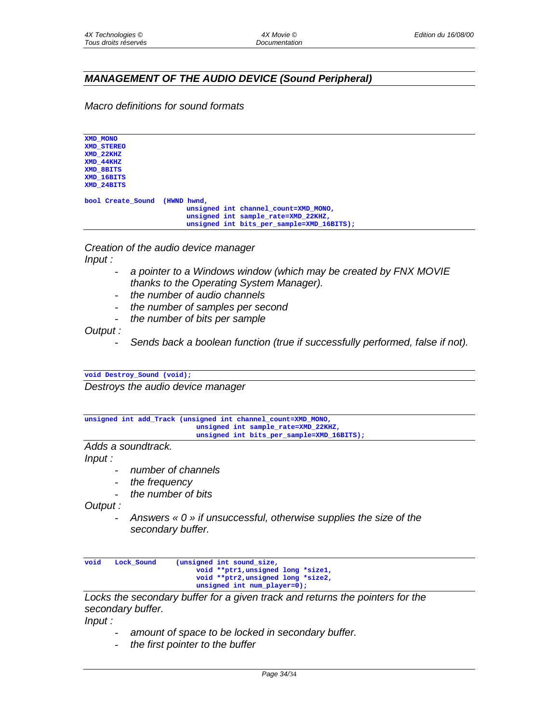# *MANAGEMENT OF THE AUDIO DEVICE (Sound Peripheral)*

*Macro definitions for sound formats* 

**XMD\_MONO XMD\_STEREO XMD\_22KHZ XMD\_44KHZ XMD\_8BITS XMD\_16BITS XMD\_24BITS bool Create\_Sound (HWND hwnd, unsigned int channel\_count=XMD\_MONO, unsigned int sample\_rate=XMD\_22KHZ, unsigned int bits\_per\_sample=XMD\_16BITS);**

*Creation of the audio device manager Input :* 

- a pointer to a Windows window (which may be created by FNX MOVIE *thanks to the Operating System Manager).*
- *the number of audio channels*
- *the number of samples per second*
- *the number of bits per sample*

*Output :* 

- *Sends back a boolean function (true if successfully performed, false if not).* 

**void Destroy\_Sound (void);**

*Destroys the audio device manager* 

**unsigned int add\_Track (unsigned int channel\_count=XMD\_MONO, unsigned int sample\_rate=XMD\_22KHZ, unsigned int bits\_per\_sample=XMD\_16BITS);**

*Adds a soundtrack.* 

*Input :* 

- *number of channels*
- *the frequency*
- *the number of bits*

*Output :* 

- *Answers « 0 » if unsuccessful, otherwise supplies the size of the secondary buffer.* 

```
void Lock_Sound (unsigned int sound_size,
                          void **ptr1,unsigned long *size1,
                          void **ptr2,unsigned long *size2,
                          unsigned int num_player=0);
```
*Locks the secondary buffer for a given track and returns the pointers for the secondary buffer.* 

*Input :* 

- amount of space to be locked in secondary buffer.
- *the first pointer to the buffer*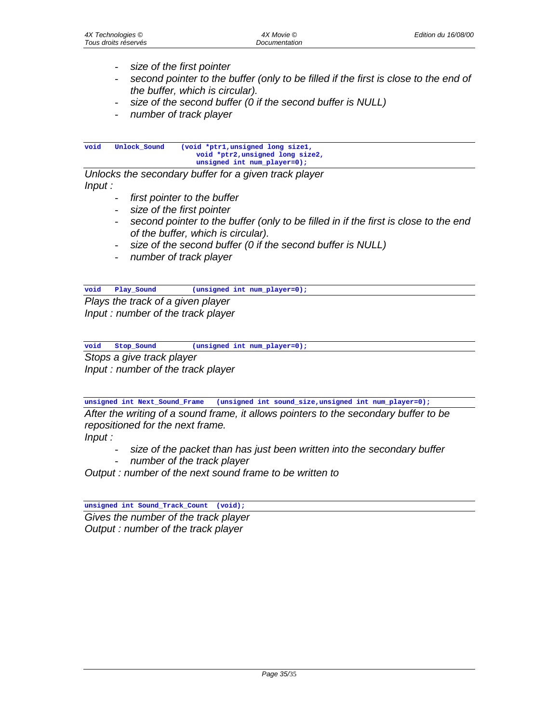- *size of the first pointer*
- *second pointer to the buffer (only to be filled if the first is close to the end of the buffer, which is circular).*
- *size of the second buffer (0 if the second buffer is NULL)*
- *number of track player*

**void Unlock\_Sound (void \*ptr1,unsigned long size1, void \*ptr2,unsigned long size2, unsigned int num\_player=0);**

*Unlocks the secondary buffer for a given track player Input :* 

- first pointer to the buffer
- *size of the first pointer*
- *second pointer to the buffer (only to be filled in if the first is close to the end of the buffer, which is circular).*
- size of the second buffer (0 if the second buffer is NULL)
- *number of track player*

**void Play\_Sound (unsigned int num\_player=0);**

*Plays the track of a given player Input : number of the track player* 

**void Stop\_Sound (unsigned int num\_player=0);**

*Stops a give track player* 

*Input : number of the track player* 

**unsigned int Next\_Sound\_Frame (unsigned int sound\_size,unsigned int num\_player=0);**

*After the writing of a sound frame, it allows pointers to the secondary buffer to be repositioned for the next frame.* 

*Input :* 

- size of the packet than has just been written into the secondary buffer
- *number of the track player*

*Output : number of the next sound frame to be written to* 

**unsigned int Sound\_Track\_Count (void);**

*Gives the number of the track player Output : number of the track player*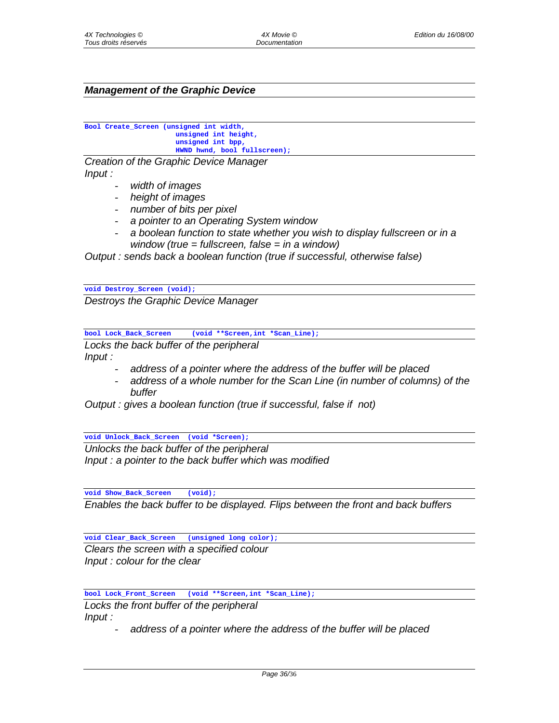## *Management of the Graphic Device*

```
Bool Create_Screen (unsigned int width,
                      unsigned int height,
                      unsigned int bpp,
                      HWND hwnd, bool fullscreen);
```
*Creation of the Graphic Device Manager Input :* 

- *width of images*
- *height of images*
- *number of bits per pixel*
- *a pointer to an Operating System window*
- *a boolean function to state whether you wish to display fullscreen or in a window (true = fullscreen, false = in a window)*

*Output : sends back a boolean function (true if successful, otherwise false)* 

**void Destroy\_Screen (void);**

*Destroys the Graphic Device Manager* 

**bool Lock\_Back\_Screen (void \*\*Screen,int \*Scan\_Line);**

*Locks the back buffer of the peripheral Input :* 

- *address of a pointer where the address of the buffer will be placed*
- address of a whole number for the Scan Line (in number of columns) of the *buffer*

*Output : gives a boolean function (true if successful, false if not)* 

**void Unlock\_Back\_Screen (void \*Screen);**

*Unlocks the back buffer of the peripheral Input : a pointer to the back buffer which was modified* 

**void Show\_Back\_Screen (void);**

*Enables the back buffer to be displayed. Flips between the front and back buffers* 

**void Clear\_Back\_Screen (unsigned long color);**

*Clears the screen with a specified colour Input : colour for the clear* 

**bool Lock\_Front\_Screen (void \*\*Screen,int \*Scan\_Line);**

*Locks the front buffer of the peripheral Input :* 

- *address of a pointer where the address of the buffer will be placed*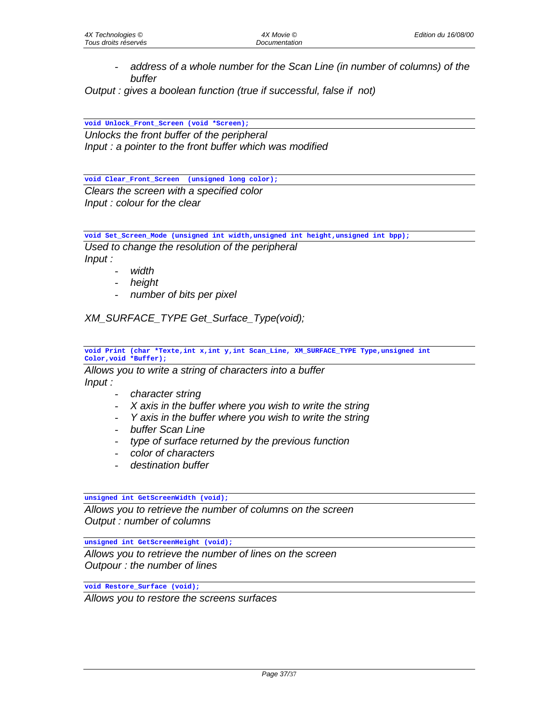- *address of a whole number for the Scan Line (in number of columns) of the buffer* 

*Output : gives a boolean function (true if successful, false if not)* 

**void Unlock\_Front\_Screen (void \*Screen);**

*Unlocks the front buffer of the peripheral Input : a pointer to the front buffer which was modified* 

**void Clear\_Front\_Screen (unsigned long color);** *Clears the screen with a specified color Input : colour for the clear* 

**void Set\_Screen\_Mode (unsigned int width,unsigned int height,unsigned int bpp);**

*Used to change the resolution of the peripheral Input :* 

- *width*
- *height*
- *number of bits per pixel*

*XM\_SURFACE\_TYPE Get\_Surface\_Type(void);* 

**void Print (char \*Texte,int x,int y,int Scan\_Line, XM\_SURFACE\_TYPE Type,unsigned int Color,void \*Buffer);**

*Allows you to write a string of characters into a buffer Input :* 

- *character string*
- *X axis in the buffer where you wish to write the string*
- *Y axis in the buffer where you wish to write the string*
- *buffer Scan Line*
- *type of surface returned by the previous function*
- *color of characters*
- *destination buffer*

#### **unsigned int GetScreenWidth (void);**

*Allows you to retrieve the number of columns on the screen Output : number of columns*

**unsigned int GetScreenHeight (void);**

*Allows you to retrieve the number of lines on the screen Outpour : the number of lines* 

**void Restore\_Surface (void);**

*Allows you to restore the screens surfaces*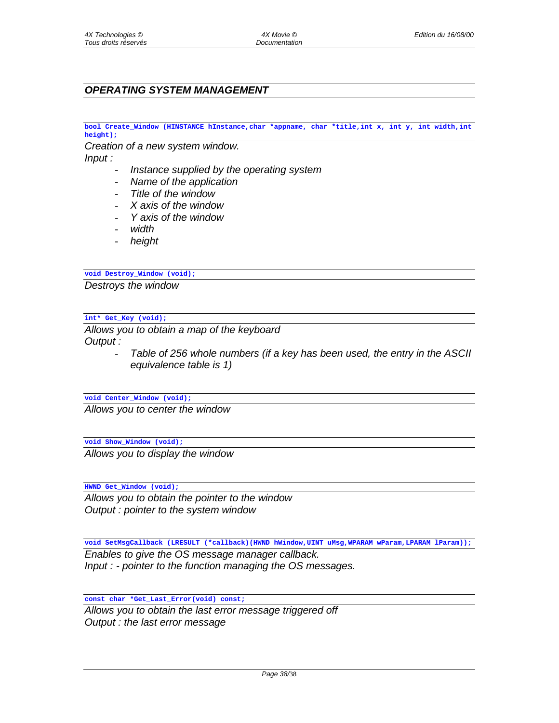# *OPERATING SYSTEM MANAGEMENT*

**bool Create\_Window (HINSTANCE hInstance,char \*appname, char \*title,int x, int y, int width,int height);**

*Creation of a new system window.* 

*Input :* 

- *Instance supplied by the operating system*
- *Name of the application*
- *Title of the window*
- *X axis of the window*
- *Y axis of the window*
- *width*
- *height*

#### **void Destroy\_Window (void);**

*Destroys the window* 

#### **int\* Get\_Key (void);**

*Allows you to obtain a map of the keyboard Output :* 

> - *Table of 256 whole numbers (if a key has been used, the entry in the ASCII equivalence table is 1)*

**void Center\_Window (void);**

*Allows you to center the window* 

**void Show\_Window (void);**

*Allows you to display the window* 

**HWND Get\_Window (void);**

*Allows you to obtain the pointer to the window Output : pointer to the system window* 

**void SetMsgCallback (LRESULT (\*callback)(HWND hWindow,UINT uMsg,WPARAM wParam,LPARAM lParam));**

*Enables to give the OS message manager callback. Input : - pointer to the function managing the OS messages.* 

**const char \*Get\_Last\_Error(void) const;**

*Allows you to obtain the last error message triggered off Output : the last error message*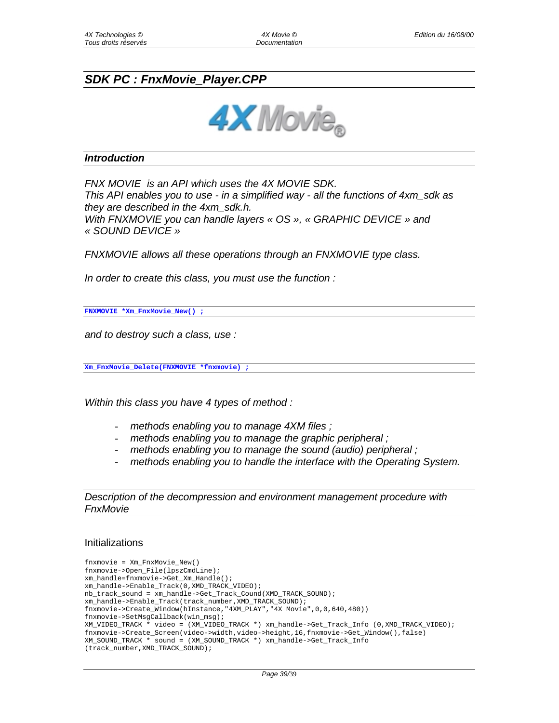# *SDK PC : FnxMovie\_Player.CPP*



#### *Introduction*

*FNX MOVIE is an API which uses the 4X MOVIE SDK. This API enables you to use - in a simplified way - all the functions of 4xm\_sdk as they are described in the 4xm\_sdk.h. With FNXMOVIE you can handle layers « OS », « GRAPHIC DEVICE » and « SOUND DEVICE »* 

*FNXMOVIE allows all these operations through an FNXMOVIE type class.* 

*In order to create this class, you must use the function :* 

**FNXMOVIE \*Xm\_FnxMovie\_New() ;**

*and to destroy such a class, use :* 

**Xm\_FnxMovie\_Delete(FNXMOVIE \*fnxmovie) ;**

*Within this class you have 4 types of method :* 

- *methods enabling you to manage 4XM files ;*
- *methods enabling you to manage the graphic peripheral ;*
- *methods enabling you to manage the sound (audio) peripheral ;*
- methods enabling you to handle the interface with the Operating System.

*Description of the decompression and environment management procedure with FnxMovie*

#### Initializations

```
fnxmovie = Xm_FnxMovie_New()
fnxmovie->Open_File(lpszCmdLine);
xm_handle=fnxmovie->Get_Xm_Handle();
xm_handle->Enable_Track(0,XMD_TRACK_VIDEO);
nb_track_sound = xm_handle->Get_Track_Cound(XMD_TRACK_SOUND);
xm_handle->Enable_Track(track_number,XMD_TRACK_SOUND);
fnxmovie->Create_Window(hInstance,"4XM_PLAY","4X Movie",0,0,640,480))
fnxmovie->SetMsgCallback(win_msg);
XM_VIDEO_TRACK * video = (XM_VIDEO_TRACK *) xm_handle->Get_Track_Info (0,XMD_TRACK_VIDEO);
fnxmovie->Create_Screen(video->width,video->height,16,fnxmovie->Get_Window(),false)
XM_SOUND_TRACK * sound = (XM_SOUND_TRACK *) xm_handle->Get_Track_Info
(track_number,XMD_TRACK_SOUND);
```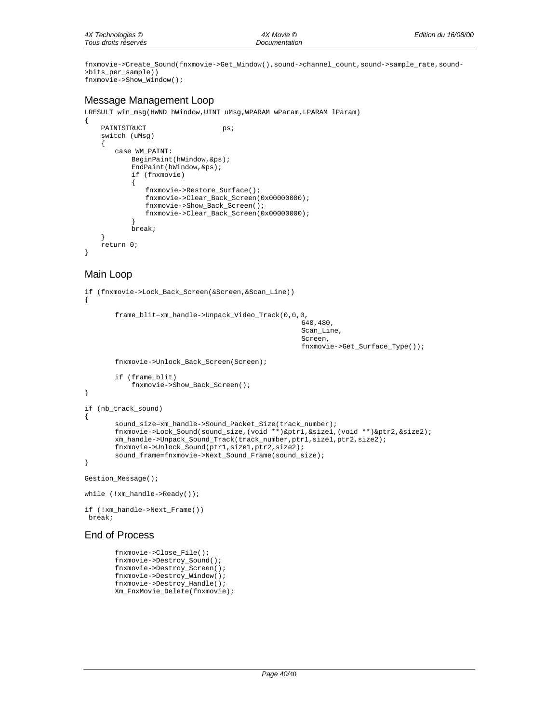fnxmovie->Create\_Sound(fnxmovie->Get\_Window(),sound->channel\_count,sound->sample\_rate,sound- >bits\_per\_sample)) fnxmovie->Show\_Window();

## Message Management Loop

LRESULT win\_msg(HWND hWindow,UINT uMsg,WPARAM wParam,LPARAM lParam)

```
{
   PAINTSTRUCT ps;
   switch (uMsg)
    {
       case WM_PAINT:
           BeginPaint(hWindow,&ps);
           EndPaint(hWindow,&ps);
           if (fnxmovie)
           {
              fnxmovie->Restore_Surface();
              fnxmovie->Clear_Back_Screen(0x00000000);
              fnxmovie->Show_Back_Screen();
              fnxmovie->Clear_Back_Screen(0x00000000);
           }
           break;
    }
   return 0;
```
## Main Loop

}

```
if (fnxmovie->Lock_Back_Screen(&Screen,&Scan_Line))
{
       frame_blit=xm_handle->Unpack_Video_Track(0,0,0,
                                                      640,480,
                                                     Scan Line,
                                                      Screen,
                                                      fnxmovie->Get_Surface_Type());
       fnxmovie->Unlock_Back_Screen(Screen);
       if (frame_blit)
           fnxmovie->Show_Back_Screen();
}
if (nb_track_sound)
{
       sound_size=xm_handle->Sound_Packet_Size(track_number);
       fnxmovie->Lock_Sound(sound_size,(void **)&ptr1,&size1,(void **)&ptr2,&size2);
       xm_handle->Unpack_Sound_Track(track_number,ptr1,size1,ptr2,size2);
       fnxmovie->Unlock_Sound(ptr1,size1,ptr2,size2);
       sound_frame=fnxmovie->Next_Sound_Frame(sound_size);
}
Gestion_Message();
while (!xm_handle->Ready());
if (!xm_handle->Next_Frame())
break;
```
## End of Process

```
fnxmovie->Close_File();
fnxmovie->Destroy_Sound();
fnxmovie->Destroy_Screen();
fnxmovie->Destroy_Window();
fnxmovie->Destroy_Handle();
Xm_FnxMovie_Delete(fnxmovie);
```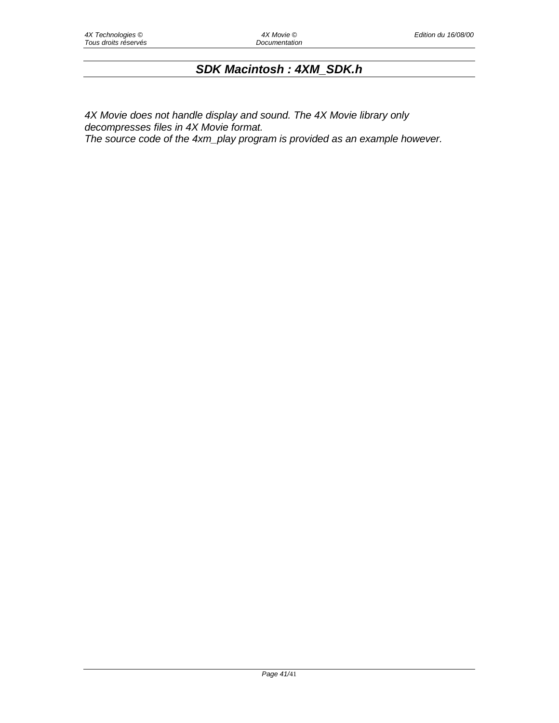# *SDK Macintosh : 4XM\_SDK.h*

*4X Movie does not handle display and sound. The 4X Movie library only decompresses files in 4X Movie format. The source code of the 4xm\_play program is provided as an example however.*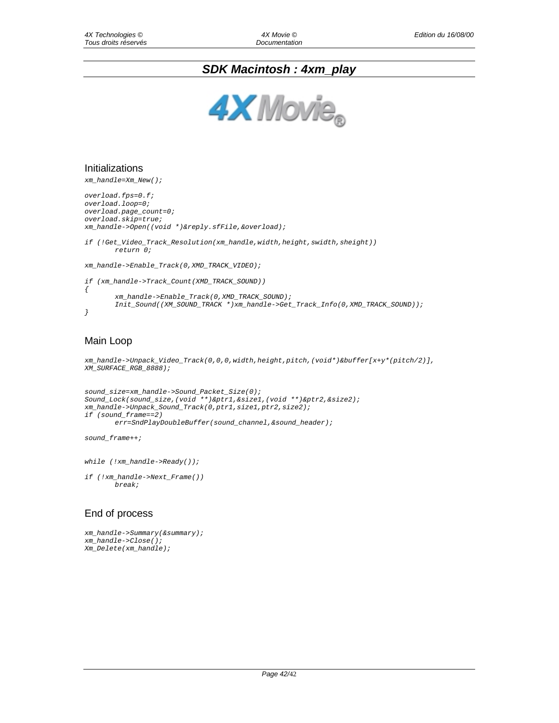# *SDK Macintosh : 4xm\_play*



#### Initializations

xm\_handle=Xm\_New();

```
overload.fps=0.f;
overload.loop=0;
overload.page_count=0;
overload.skip=true;
xm_handle->Open((void *)&reply.sfFile,&overload);
if (!Get_Video_Track_Resolution(xm_handle,width,height,swidth,sheight))
       return 0;
xm_handle->Enable_Track(0,XMD_TRACK_VIDEO);
if (xm_handle->Track_Count(XMD_TRACK_SOUND))
\left\{ \right.
```

```
xm_handle->Enable_Track(0,XMD_TRACK_SOUND);
       Init_Sound((XM_SOUND_TRACK *)xm_handle->Get_Track_Info(0,XMD_TRACK_SOUND));
}
```
### Main Loop

```
xm_handle->Unpack_Video_Track(0,0,0,width,height,pitch,(void*)&buffer[x+y*(pitch/2)],
XM_SURFACE_RGB_8888);
```

```
sound_size=xm_handle->Sound_Packet_Size(0);
Sound_Lock(sound_size,(void **)&ptr1,&size1,(void **)&ptr2,&size2);
xm_handle->Unpack_Sound_Track(0,ptr1,size1,ptr2,size2);
if (sound_frame==2)
       err=SndPlayDoubleBuffer(sound_channel,&sound_header);
```
sound\_frame++;

while (!xm\_handle->Ready());

if (!xm\_handle->Next\_Frame()) break;

#### End of process

```
xm_handle->Summary(&summary);
xm_handle->Close();
Xm_Delete(xm_handle);
```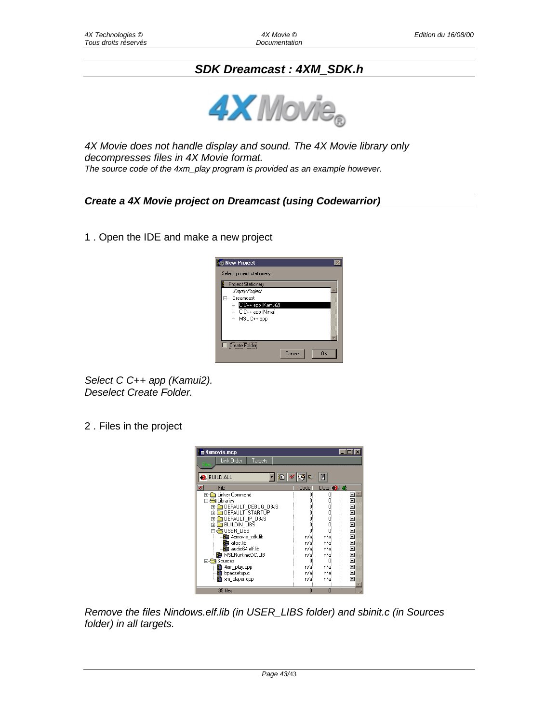# *SDK Dreamcast : 4XM\_SDK.h*



*4X Movie does not handle display and sound. The 4X Movie library only decompresses files in 4X Movie format. The source code of the 4xm\_play program is provided as an example however.* 

## *Create a 4X Movie project on Dreamcast (using Codewarrior)*

1 . Open the IDE and make a new project



*Select C C++ app (Kamui2). Deselect Create Folder.* 

2 . Files in the project



*Remove the files Nindows.elf.lib (in USER\_LIBS folder) and sbinit.c (in Sources folder) in all targets.*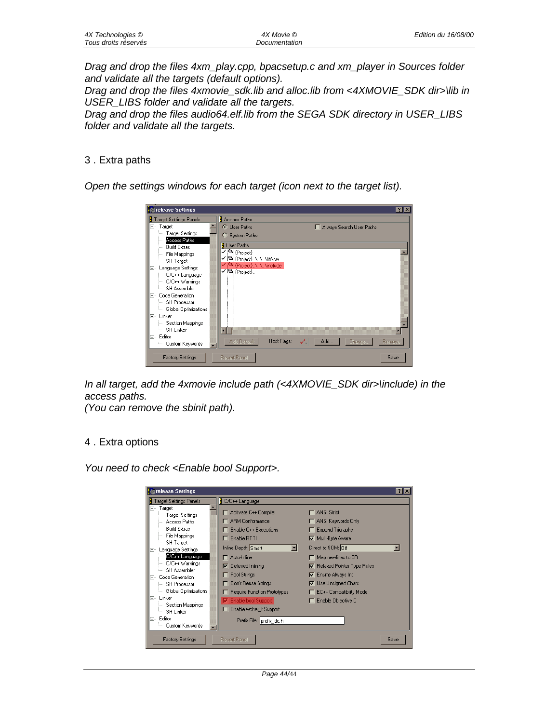| 4X Technologies ©    | 4X Movie ©    | Edition du 16/08/00 |
|----------------------|---------------|---------------------|
| Tous droits réservés | Documentation |                     |

*Drag and drop the files 4xm\_play.cpp, bpacsetup.c and xm\_player in Sources folder and validate all the targets (default options).* 

*Drag and drop the files 4xmovie\_sdk.lib and alloc.lib from <4XMOVIE\_SDK dir>\lib in USER\_LIBS folder and validate all the targets.* 

*Drag and drop the files audio64.elf.lib from the SEGA SDK directory in USER\_LIBS folder and validate all the targets.* 

#### 3 . Extra paths

*Open the settings windows for each target (icon next to the target list).* 



*In all target, add the 4xmovie include path (<4XMOVIE\_SDK dir>\include) in the access paths.* 

*(You can remove the sbinit path).* 

#### 4 . Extra options

*You need to check <Enable bool Support>.* 

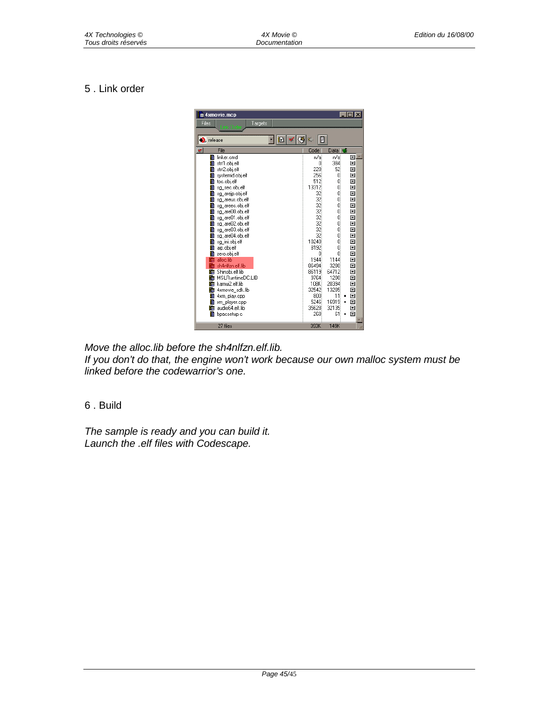# 5 . Link order



*Move the alloc.lib before the sh4nlfzn.elf.lib.* 

*If you don't do that, the engine won't work because our own malloc system must be linked before the codewarrior's one.* 

# 6 . Build

*The sample is ready and you can build it. Launch the .elf files with Codescape.*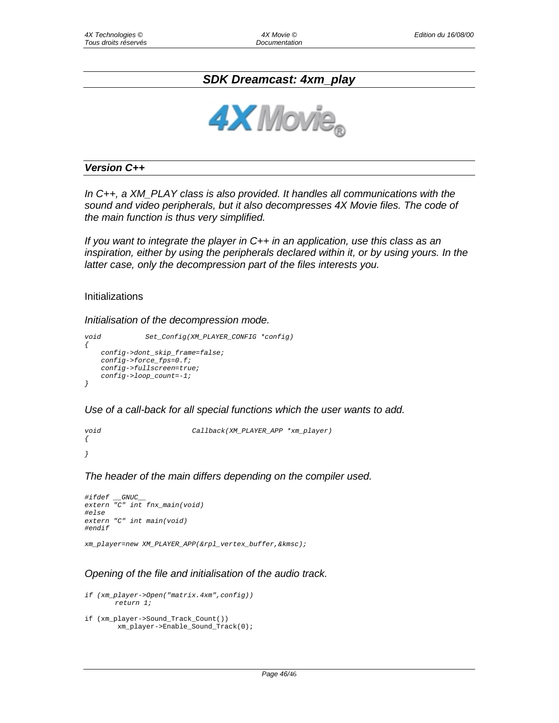# *SDK Dreamcast: 4xm\_play*



### *Version C++*

*In C++, a XM\_PLAY class is also provided. It handles all communications with the sound and video peripherals, but it also decompresses 4X Movie files. The code of the main function is thus very simplified.* 

*If you want to integrate the player in C++ in an application, use this class as an inspiration, either by using the peripherals declared within it, or by using yours. In the latter case, only the decompression part of the files interests you.* 

#### Initializations

*Initialisation of the decompression mode.* 

```
void Set_Config(XM_PLAYER_CONFIG *config)
{
   config->dont_skip_frame=false;
   config->force_fps=0.f;
   config->fullscreen=true;
   config->loop_count=-1;
}
```
*Use of a call-back for all special functions which the user wants to add.* 

void Callback(XM\_PLAYER\_APP \*xm\_player)  $\left\{ \right.$ }

*The header of the main differs depending on the compiler used.* 

```
#ifdef __GNUC__
extern "C" int fnx_main(void)
#else
extern "C" int main(void)
#endif
```
xm\_player=new XM\_PLAYER\_APP(&rpl\_vertex\_buffer,&kmsc);

#### *Opening of the file and initialisation of the audio track.*

```
if (xm_player->Open("matrix.4xm",config))
       return 1;
if (xm_player->Sound_Track_Count())
```

```
xm_player->Enable_Sound_Track(0);
```